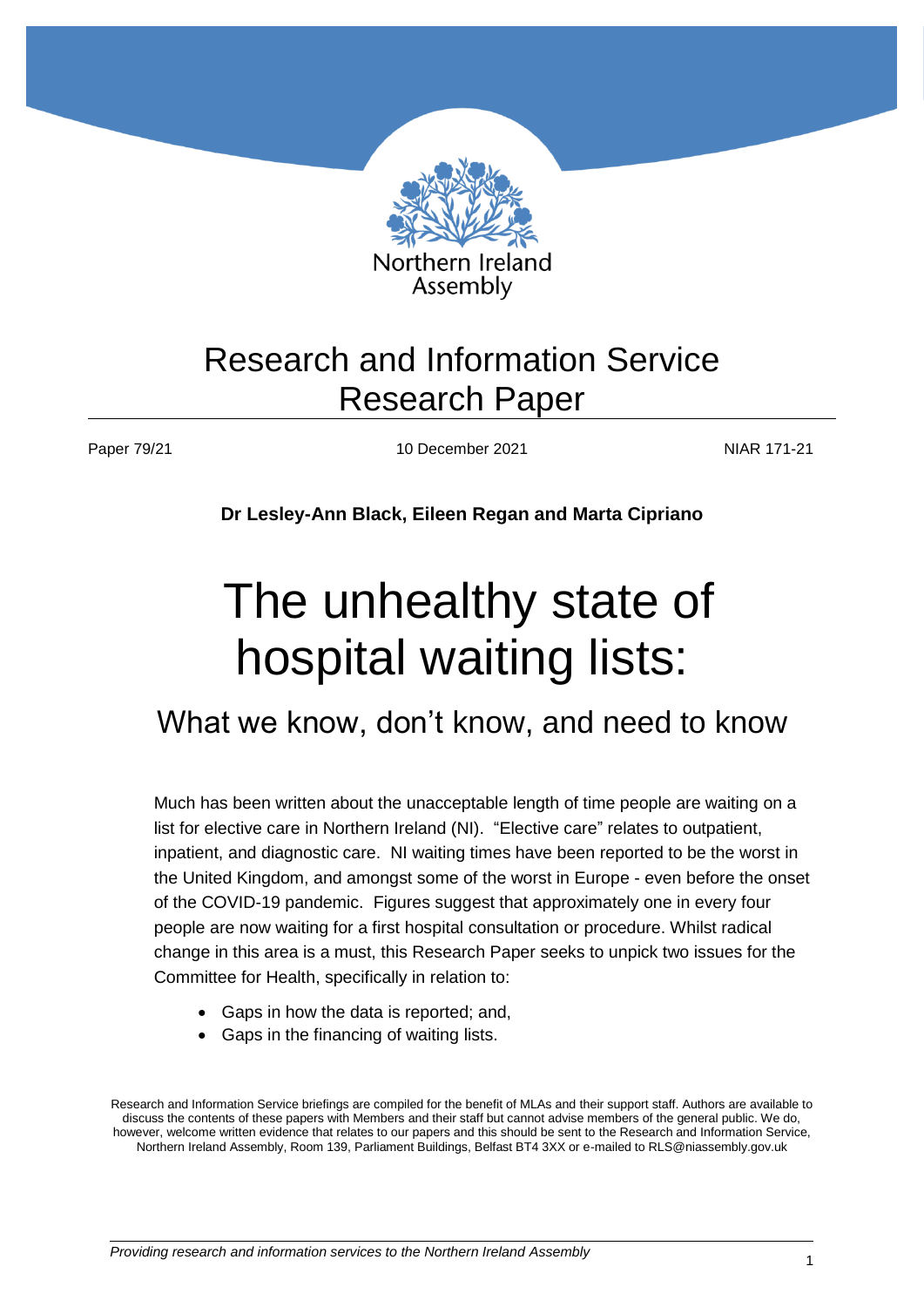

# Research and Information Service Research Paper

Paper 79/21 10 December 2021 10 NIAR 171-21

**Dr Lesley-Ann Black, Eileen Regan and Marta Cipriano**

# The unhealthy state of hospital waiting lists:

# What we know, don't know, and need to know

Much has been written about the unacceptable length of time people are waiting on a list for elective care in Northern Ireland (NI). "Elective care" relates to outpatient, inpatient, and diagnostic care. NI waiting times have been reported to be the worst in the United Kingdom, and amongst some of the worst in Europe - even before the onset of the COVID-19 pandemic. Figures suggest that approximately one in every four people are now waiting for a first hospital consultation or procedure. Whilst radical change in this area is a must, this Research Paper seeks to unpick two issues for the Committee for Health, specifically in relation to:

- Gaps in how the data is reported; and,
- Gaps in the financing of waiting lists.

Research and Information Service briefings are compiled for the benefit of MLAs and their support staff. Authors are available to discuss the contents of these papers with Members and their staff but cannot advise members of the general public. We do, however, welcome written evidence that relates to our papers and this should be sent to the Research and Information Service, Northern Ireland Assembly, Room 139, Parliament Buildings, Belfast BT4 3XX or e-mailed to RLS@niassembly.gov.uk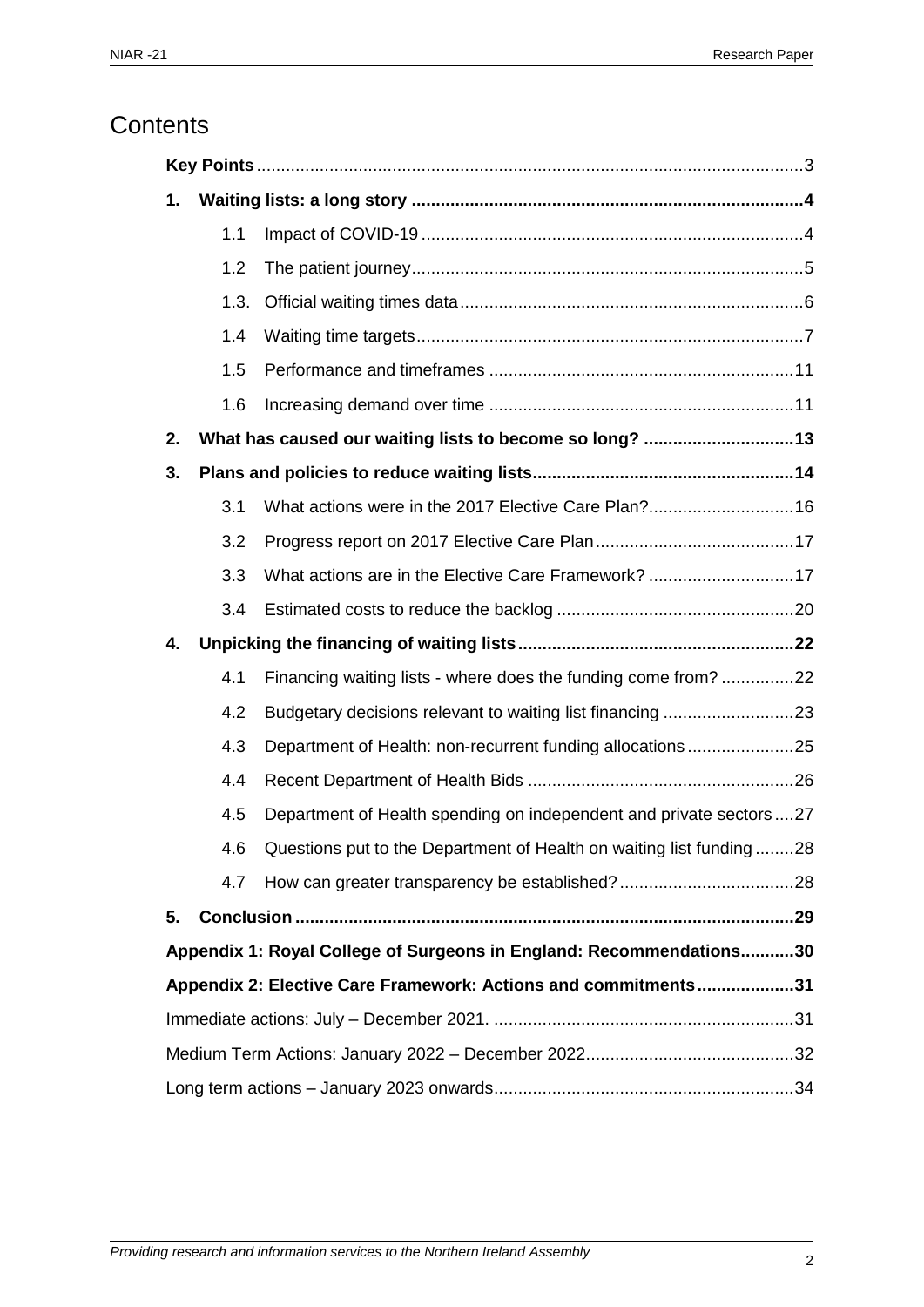# **Contents**

<span id="page-1-0"></span>

| 1. |      |                                                                     |  |
|----|------|---------------------------------------------------------------------|--|
|    | 1.1  |                                                                     |  |
|    | 1.2  |                                                                     |  |
|    | 1.3. |                                                                     |  |
|    | 1.4  |                                                                     |  |
|    | 1.5  |                                                                     |  |
|    | 1.6  |                                                                     |  |
| 2. |      | What has caused our waiting lists to become so long? 13             |  |
| 3. |      |                                                                     |  |
|    | 3.1  | What actions were in the 2017 Elective Care Plan?16                 |  |
|    | 3.2  |                                                                     |  |
|    | 3.3  |                                                                     |  |
|    | 3.4  |                                                                     |  |
|    |      |                                                                     |  |
| 4. |      |                                                                     |  |
|    | 4.1  | Financing waiting lists - where does the funding come from?22       |  |
|    | 4.2  |                                                                     |  |
|    | 4.3  | Department of Health: non-recurrent funding allocations25           |  |
|    | 4.4  |                                                                     |  |
|    | 4.5  | Department of Health spending on independent and private sectors27  |  |
|    | 4.6  | Questions put to the Department of Health on waiting list funding28 |  |
|    | 4.7  |                                                                     |  |
| 5. |      |                                                                     |  |
|    |      | Appendix 1: Royal College of Surgeons in England: Recommendations30 |  |
|    |      | Appendix 2: Elective Care Framework: Actions and commitments31      |  |
|    |      |                                                                     |  |
|    |      |                                                                     |  |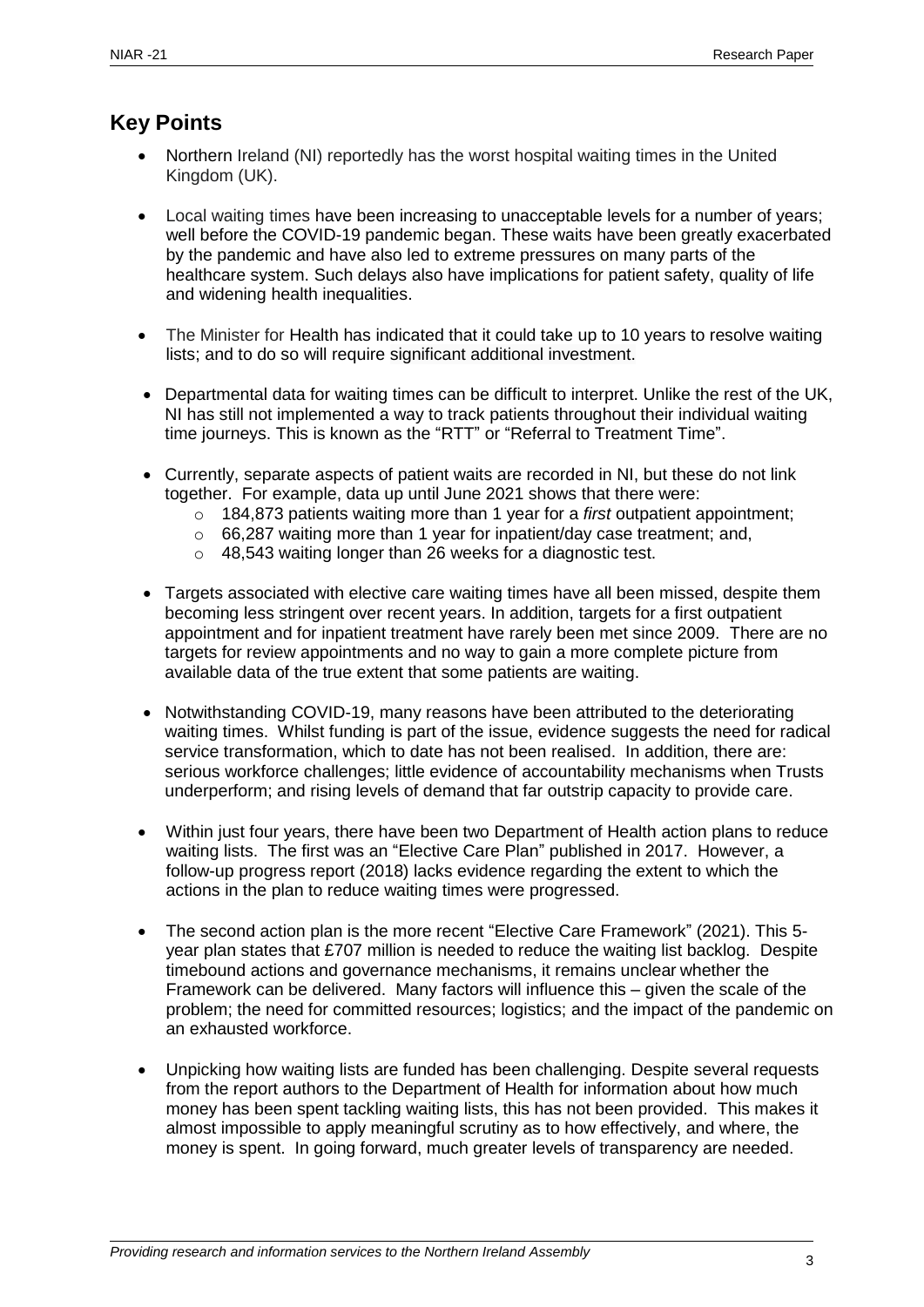# **Key Points**

- Northern Ireland (NI) reportedly has the worst hospital waiting times in the United Kingdom (UK).
- Local waiting times have been increasing to unacceptable levels for a number of years; well before the COVID-19 pandemic began. These waits have been greatly exacerbated by the pandemic and have also led to extreme pressures on many parts of the healthcare system. Such delays also have implications for patient safety, quality of life and widening health inequalities.
- The Minister for Health has indicated that it could take up to 10 years to resolve waiting lists; and to do so will require significant additional investment.
- Departmental data for waiting times can be difficult to interpret. Unlike the rest of the UK, NI has still not implemented a way to track patients throughout their individual waiting time journeys. This is known as the "RTT" or "Referral to Treatment Time".
- Currently, separate aspects of patient waits are recorded in NI, but these do not link together. For example, data up until June 2021 shows that there were:
	- o 184,873 patients waiting more than 1 year for a *first* outpatient appointment;
	- o 66,287 waiting more than 1 year for inpatient/day case treatment; and,
	- o 48,543 waiting longer than 26 weeks for a diagnostic test.
- Targets associated with elective care waiting times have all been missed, despite them becoming less stringent over recent years. In addition, targets for a first outpatient appointment and for inpatient treatment have rarely been met since 2009. There are no targets for review appointments and no way to gain a more complete picture from available data of the true extent that some patients are waiting.
- Notwithstanding COVID-19, many reasons have been attributed to the deteriorating waiting times. Whilst funding is part of the issue, evidence suggests the need for radical service transformation, which to date has not been realised. In addition, there are: serious workforce challenges; little evidence of accountability mechanisms when Trusts underperform; and rising levels of demand that far outstrip capacity to provide care.
- Within just four years, there have been two Department of Health action plans to reduce waiting lists. The first was an "Elective Care Plan" published in 2017. However, a follow-up progress report (2018) lacks evidence regarding the extent to which the actions in the plan to reduce waiting times were progressed.
- The second action plan is the more recent "Elective Care Framework" (2021). This 5 year plan states that £707 million is needed to reduce the waiting list backlog. Despite timebound actions and governance mechanisms, it remains unclear whether the Framework can be delivered. Many factors will influence this – given the scale of the problem; the need for committed resources; logistics; and the impact of the pandemic on an exhausted workforce.
- Unpicking how waiting lists are funded has been challenging. Despite several requests from the report authors to the Department of Health for information about how much money has been spent tackling waiting lists, this has not been provided. This makes it almost impossible to apply meaningful scrutiny as to how effectively, and where, the money is spent. In going forward, much greater levels of transparency are needed.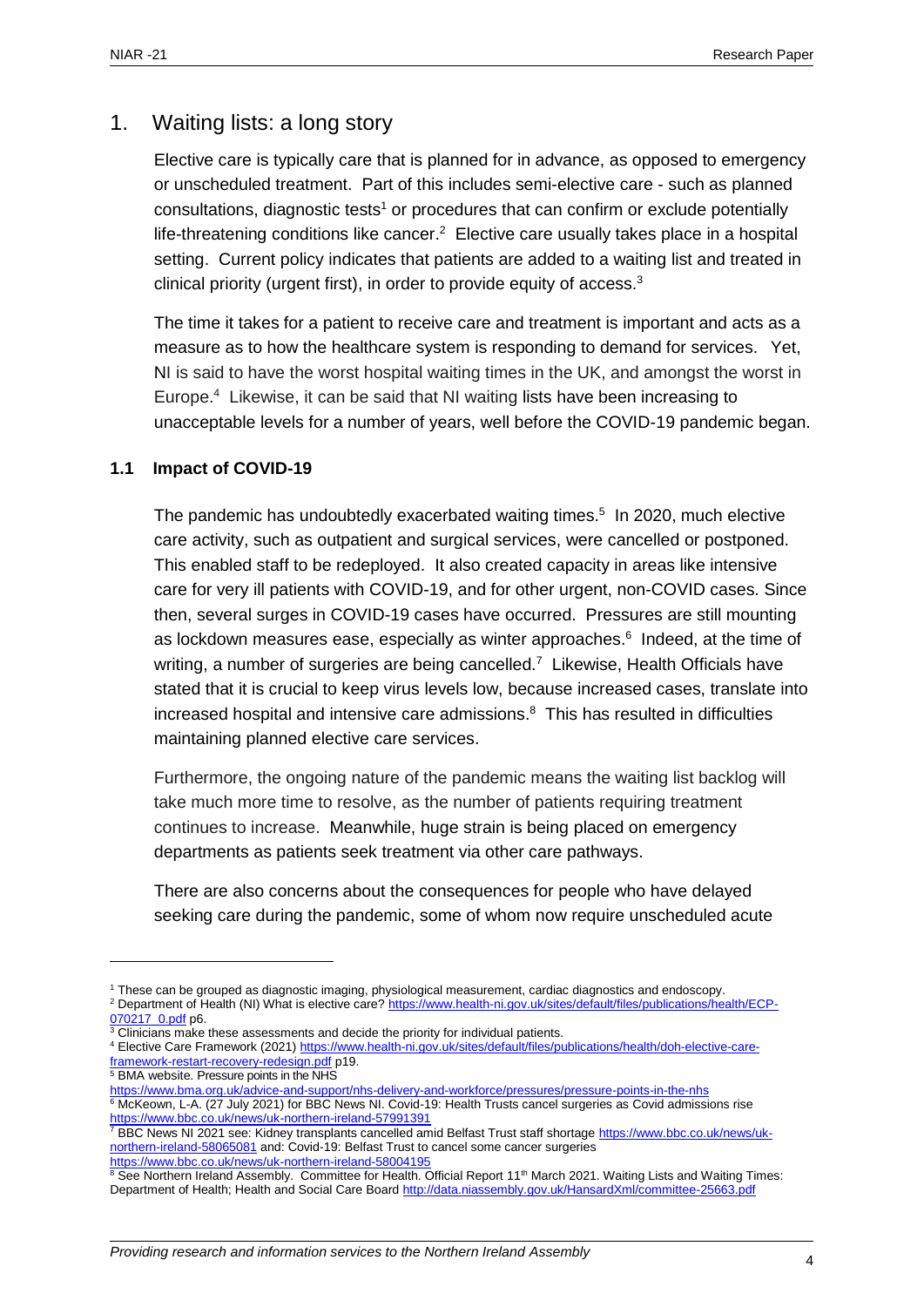## <span id="page-3-0"></span>1. Waiting lists: a long story

Elective care is typically care that is planned for in advance, as opposed to emergency or unscheduled treatment. Part of this includes semi-elective care - such as planned consultations, diagnostic tests<sup>1</sup> or procedures that can confirm or exclude potentially life-threatening conditions like cancer.<sup>2</sup> Elective care usually takes place in a hospital setting. Current policy indicates that patients are added to a waiting list and treated in clinical priority (urgent first), in order to provide equity of access.<sup>3</sup>

The time it takes for a patient to receive care and treatment is important and acts as a measure as to how the healthcare system is responding to demand for services. Yet, NI is said to have the worst hospital waiting times in the UK, and amongst the worst in Europe. <sup>4</sup> Likewise, it can be said that NI waiting lists have been increasing to unacceptable levels for a number of years, well before the COVID-19 pandemic began.

#### <span id="page-3-1"></span>**1.1 Impact of COVID-19**

The pandemic has undoubtedly exacerbated waiting times. 5 In 2020, much elective care activity, such as outpatient and surgical services, were cancelled or postponed. This enabled staff to be redeployed. It also created capacity in areas like intensive care for very ill patients with COVID-19, and for other urgent, non-COVID cases. Since then, several surges in COVID-19 cases have occurred. Pressures are still mounting as lockdown measures ease, especially as winter approaches. 6 Indeed, at the time of writing, a number of surgeries are being cancelled.<sup>7</sup> Likewise, Health Officials have stated that it is crucial to keep virus levels low, because increased cases, translate into increased hospital and intensive care admissions. <sup>8</sup> This has resulted in difficulties maintaining planned elective care services.

Furthermore, the ongoing nature of the pandemic means the waiting list backlog will take much more time to resolve, as the number of patients requiring treatment continues to increase. Meanwhile, huge strain is being placed on emergency departments as patients seek treatment via other care pathways.

There are also concerns about the consequences for people who have delayed seeking care during the pandemic, some of whom now require unscheduled acute

<sup>5</sup> BMA website. Pressure points in the NHS

<sup>1</sup> These can be grouped as diagnostic imaging, physiological measurement, cardiac diagnostics and endoscopy. <sup>2</sup> Department of Health (NI) What is elective care? [https://www.health-ni.gov.uk/sites/default/files/publications/health/ECP-](https://www.health-ni.gov.uk/sites/default/files/publications/health/ECP-070217_0.pdf)[070217\\_0.pdf](https://www.health-ni.gov.uk/sites/default/files/publications/health/ECP-070217_0.pdf) p6.

 $3$  Clinicians make these assessments and decide the priority for individual patients.

<sup>4</sup> Elective Care Framework (2021[\) https://www.health-ni.gov.uk/sites/default/files/publications/health/doh-elective-care](https://www.health-ni.gov.uk/sites/default/files/publications/health/doh-elective-care-framework-restart-recovery-redesign.pdf)[framework-restart-recovery-redesign.pdf](https://www.health-ni.gov.uk/sites/default/files/publications/health/doh-elective-care-framework-restart-recovery-redesign.pdf) p19.

<https://www.bma.org.uk/advice-and-support/nhs-delivery-and-workforce/pressures/pressure-points-in-the-nhs>

<sup>6</sup> McKeown, L-A. (27 July 2021) for BBC News NI. Covid-19: Health Trusts cancel surgeries as Covid admissions rise <https://www.bbc.co.uk/news/uk-northern-ireland-57991391>

<sup>&</sup>lt;sup>7</sup> BBC News NI 2021 see: Kidney transplants cancelled amid Belfast Trust staff shortage [https://www.bbc.co.uk/news/uk](https://www.bbc.co.uk/news/uk-northern-ireland-58065081)[northern-ireland-58065081](https://www.bbc.co.uk/news/uk-northern-ireland-58065081) and: Covid-19: Belfast Trust to cancel some cancer surgeries <https://www.bbc.co.uk/news/uk-northern-ireland-58004195>

 $8$  See Northern Ireland Assembly. Committee for Health. Official Report 11<sup>th</sup> March 2021. Waiting Lists and Waiting Times: Department of Health; Health and Social Care Boar[d http://data.niassembly.gov.uk/HansardXml/committee-25663.pdf](http://data.niassembly.gov.uk/HansardXml/committee-25663.pdf)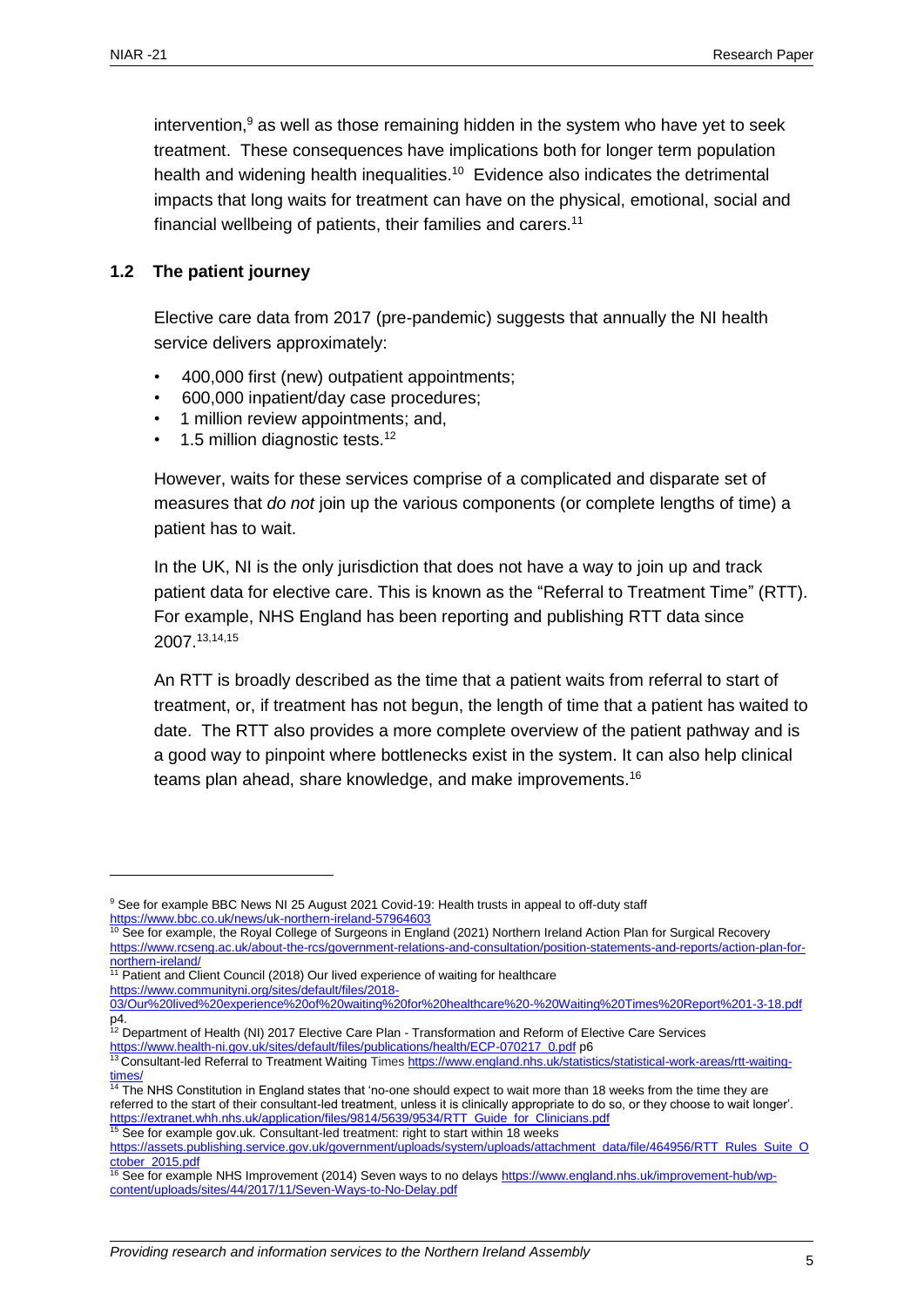intervention, <sup>9</sup> as well as those remaining hidden in the system who have yet to seek treatment. These consequences have implications both for longer term population health and widening health inequalities.<sup>10</sup> Evidence also indicates the detrimental impacts that long waits for treatment can have on the physical, emotional, social and financial wellbeing of patients, their families and carers.<sup>11</sup>

#### <span id="page-4-0"></span>**1.2 The patient journey**

Elective care data from 2017 (pre-pandemic) suggests that annually the NI health service delivers approximately:

- 400,000 first (new) outpatient appointments;
- 600,000 inpatient/day case procedures;
- 1 million review appointments; and,
- 1.5 million diagnostic tests.<sup>12</sup>

However, waits for these services comprise of a complicated and disparate set of measures that *do not* join up the various components (or complete lengths of time) a patient has to wait.

In the UK, NI is the only jurisdiction that does not have a way to join up and track patient data for elective care. This is known as the "Referral to Treatment Time" (RTT). For example, NHS England has been reporting and publishing RTT data since 2007.13,14,15

An RTT is broadly described as the time that a patient waits from referral to start of treatment, or, if treatment has not begun, the length of time that a patient has waited to date. The RTT also provides a more complete overview of the patient pathway and is a good way to pinpoint where bottlenecks exist in the system. It can also help clinical teams plan ahead, share knowledge, and make improvements.<sup>16</sup>

<sup>&</sup>lt;sup>9</sup> See for example BBC News NI 25 August 2021 Covid-19: Health trusts in appeal to off-duty staff <https://www.bbc.co.uk/news/uk-northern-ireland-57964603>

 $10$  See for example, the Royal College of Surgeons in England (2021) Northern Ireland Action Plan for Surgical Recovery [https://www.rcseng.ac.uk/about-the-rcs/government-relations-and-consultation/position-statements-and-reports/action-plan-for](https://www.rcseng.ac.uk/about-the-rcs/government-relations-and-consultation/position-statements-and-reports/action-plan-for-northern-ireland/)[northern-ireland/](https://www.rcseng.ac.uk/about-the-rcs/government-relations-and-consultation/position-statements-and-reports/action-plan-for-northern-ireland/) 

<sup>&</sup>lt;sup>11</sup> Patient and Client Council (2018) Our lived experience of waiting for healthcare [https://www.communityni.org/sites/default/files/2018-](https://www.communityni.org/sites/default/files/2018-03/Our%20lived%20experience%20of%20waiting%20for%20healthcare%20-%20Waiting%20Times%20Report%201-3-18.pdf)

[<sup>03/</sup>Our%20lived%20experience%20of%20waiting%20for%20healthcare%20-%20Waiting%20Times%20Report%201-3-18.pdf](https://www.communityni.org/sites/default/files/2018-03/Our%20lived%20experience%20of%20waiting%20for%20healthcare%20-%20Waiting%20Times%20Report%201-3-18.pdf) p4.

<sup>&</sup>lt;sup>12</sup> Department of Health (NI) 2017 Elective Care Plan - Transformation and Reform of Elective Care Services

[https://www.health-ni.gov.uk/sites/default/files/publications/health/ECP-070217\\_0.pdf](https://www.health-ni.gov.uk/sites/default/files/publications/health/ECP-070217_0.pdf) p6

<sup>13</sup> Consultant-led Referral to Treatment Waiting Times [https://www.england.nhs.uk/statistics/statistical-work-areas/rtt-waiting](https://www.england.nhs.uk/statistics/statistical-work-areas/rtt-waiting-times/)[times/](https://www.england.nhs.uk/statistics/statistical-work-areas/rtt-waiting-times/)

<sup>&</sup>lt;sup>14</sup> The NHS Constitution in England states that 'no-one should expect to wait more than 18 weeks from the time they are referred to the start of their consultant-led treatment, unless it is clinically appropriate to do so, or they choose to wait longer'. [https://extranet.whh.nhs.uk/application/files/9814/5639/9534/RTT\\_Guide\\_for\\_Clinicians.pdf](https://extranet.whh.nhs.uk/application/files/9814/5639/9534/RTT_Guide_for_Clinicians.pdf) <sup>15</sup> See for example gov.uk. Consultant-led treatment: right to start within 18 weeks

[https://assets.publishing.service.gov.uk/government/uploads/system/uploads/attachment\\_data/file/464956/RTT\\_Rules\\_Suite\\_O](https://assets.publishing.service.gov.uk/government/uploads/system/uploads/attachment_data/file/464956/RTT_Rules_Suite_October_2015.pdf) [ctober\\_2015.pdf](https://assets.publishing.service.gov.uk/government/uploads/system/uploads/attachment_data/file/464956/RTT_Rules_Suite_October_2015.pdf)

<sup>&</sup>lt;sup>16</sup> See for example NHS Improvement (2014) Seven ways to no delays [https://www.england.nhs.uk/improvement-hub/wp](https://www.england.nhs.uk/improvement-hub/wp-content/uploads/sites/44/2017/11/Seven-Ways-to-No-Delay.pdf)[content/uploads/sites/44/2017/11/Seven-Ways-to-No-Delay.pdf](https://www.england.nhs.uk/improvement-hub/wp-content/uploads/sites/44/2017/11/Seven-Ways-to-No-Delay.pdf)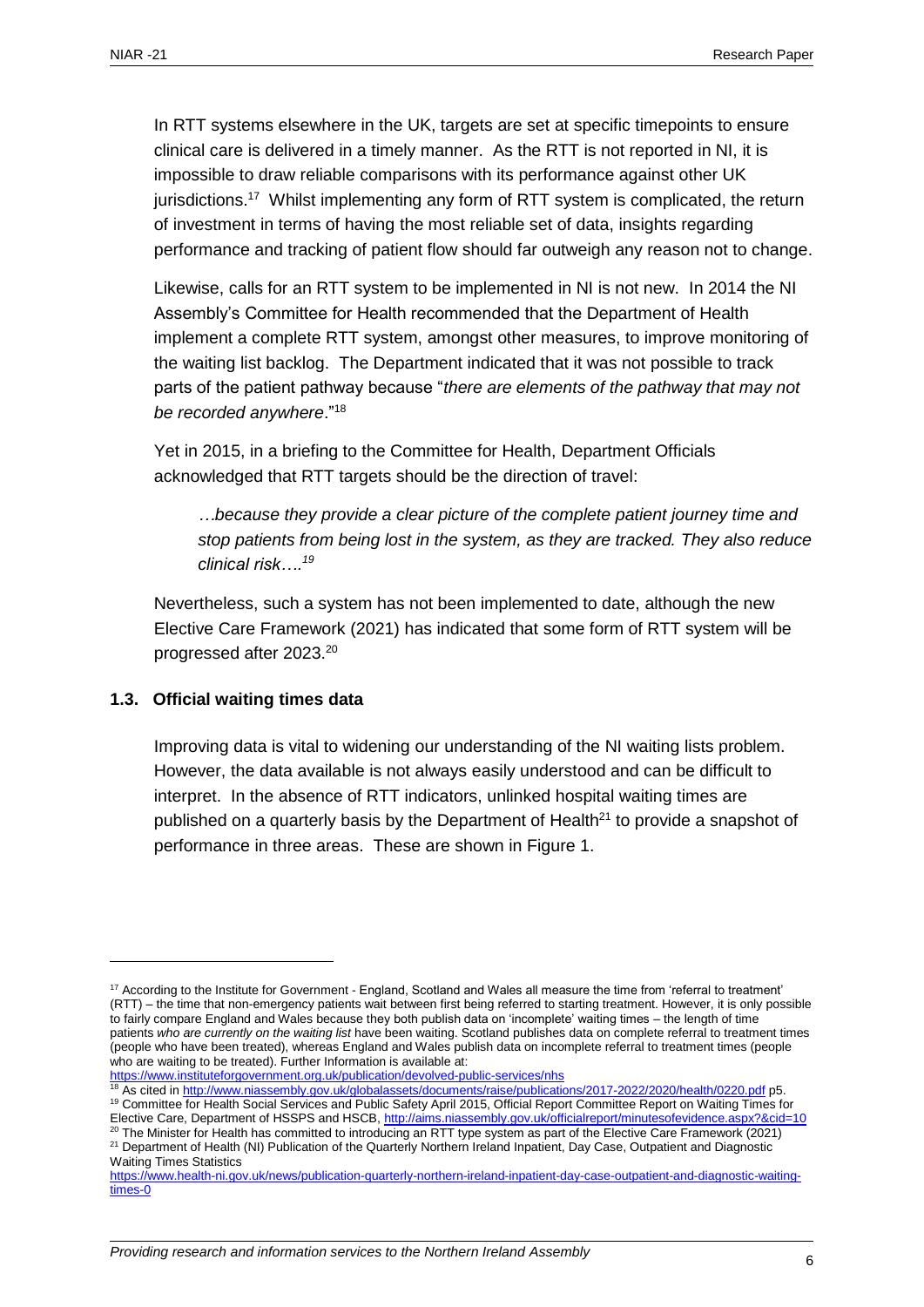In RTT systems elsewhere in the UK, targets are set at specific timepoints to ensure clinical care is delivered in a timely manner. As the RTT is not reported in NI, it is impossible to draw reliable comparisons with its performance against other UK jurisdictions.<sup>17</sup> Whilst implementing any form of RTT system is complicated, the return of investment in terms of having the most reliable set of data, insights regarding performance and tracking of patient flow should far outweigh any reason not to change.

Likewise, calls for an RTT system to be implemented in NI is not new. In 2014 the NI Assembly's Committee for Health recommended that the Department of Health implement a complete RTT system, amongst other measures, to improve monitoring of the waiting list backlog. The Department indicated that it was not possible to track parts of the patient pathway because "*there are elements of the pathway that may not be recorded anywhere*."<sup>18</sup>

Yet in 2015, in a briefing to the Committee for Health, Department Officials acknowledged that RTT targets should be the direction of travel:

*…because they provide a clear picture of the complete patient journey time and stop patients from being lost in the system, as they are tracked. They also reduce clinical risk….<sup>19</sup>*

Nevertheless, such a system has not been implemented to date, although the new Elective Care Framework (2021) has indicated that some form of RTT system will be progressed after 2023. 20

#### <span id="page-5-0"></span>**1.3. Official waiting times data**

 $\overline{a}$ 

Improving data is vital to widening our understanding of the NI waiting lists problem. However, the data available is not always easily understood and can be difficult to interpret. In the absence of RTT indicators, unlinked hospital waiting times are published on a quarterly basis by the Department of Health $^{21}$  to provide a snapshot of performance in three areas. These are shown in Figure 1.

<sup>20</sup> The Minister for Health has committed to introducing an RTT type system as part of the Elective Care Framework (2021) <sup>21</sup> Department of Health (NI) Publication of the Quarterly Northern Ireland Inpatient, Day Case, Outpatient and Diagnostic

 $17$  According to the Institute for Government - England, Scotland and Wales all measure the time from 'referral to treatment' (RTT) – the time that non-emergency patients wait between first being referred to starting treatment. However, it is only possible to fairly compare England and Wales because they both publish data on 'incomplete' waiting times – the length of time patients *who are currently on the waiting list* have been waiting. Scotland publishes data on complete referral to treatment times (people who have been treated), whereas England and Wales publish data on incomplete referral to treatment times (people who are waiting to be treated). Further Information is available at:

<https://www.instituteforgovernment.org.uk/publication/devolved-public-services/nhs>

<sup>18</sup> As cited in<http://www.niassembly.gov.uk/globalassets/documents/raise/publications/2017-2022/2020/health/0220.pdf> p5. 19 Committee for Health Social Services and Public Safety April 2015, Official Report Committee Report on Waiting Times for Elective Care, Department of HSSPS and HSCB[, http://aims.niassembly.gov.uk/officialreport/minutesofevidence.aspx?&cid=10](http://aims.niassembly.gov.uk/officialreport/minutesofevidence.aspx?&cid=10)

Waiting Times Statistics

[https://www.health-ni.gov.uk/news/publication-quarterly-northern-ireland-inpatient-day-case-outpatient-and-diagnostic-waiting](https://www.health-ni.gov.uk/news/publication-quarterly-northern-ireland-inpatient-day-case-outpatient-and-diagnostic-waiting-times-0)[times-0](https://www.health-ni.gov.uk/news/publication-quarterly-northern-ireland-inpatient-day-case-outpatient-and-diagnostic-waiting-times-0)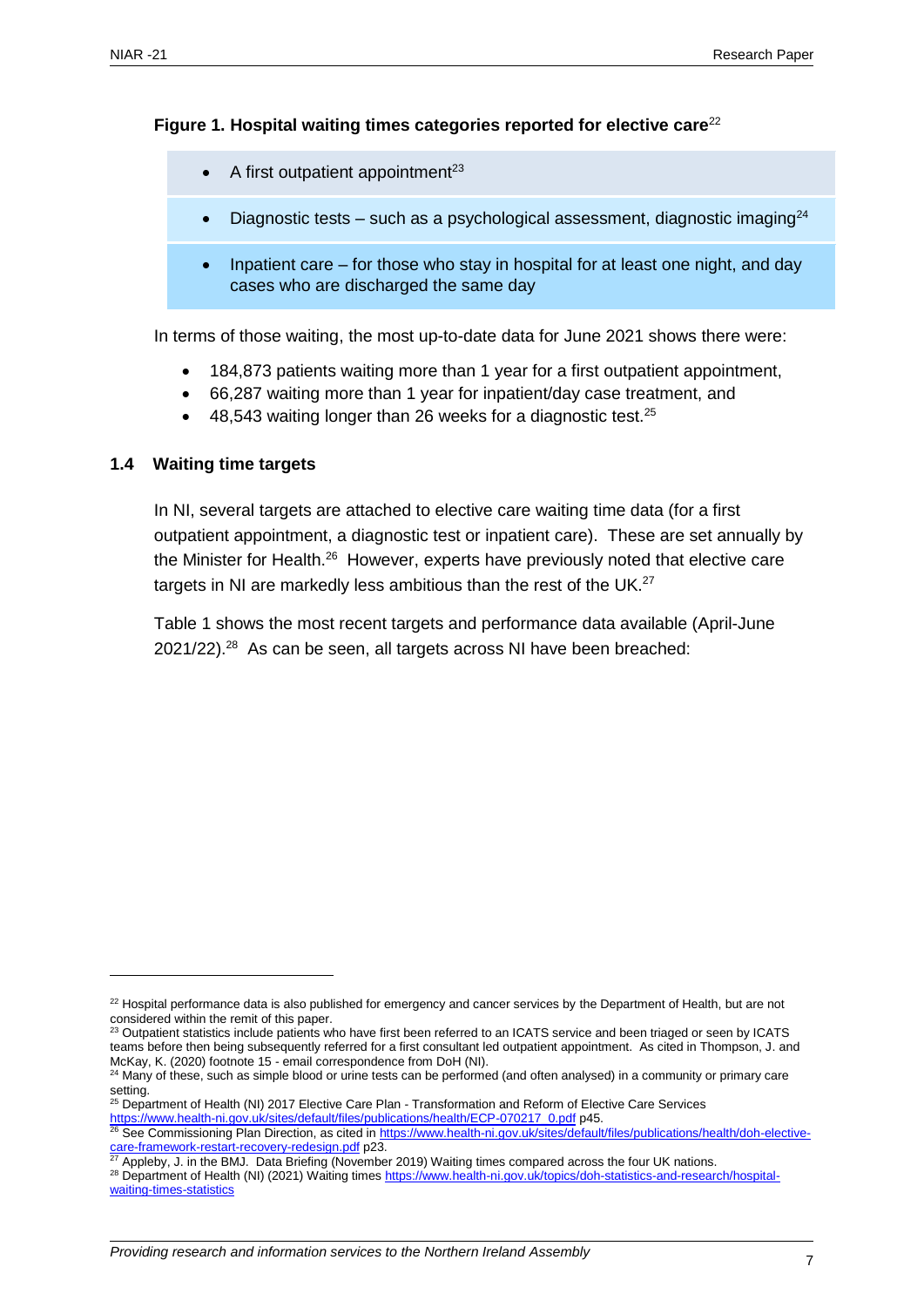#### **Figure 1. Hospital waiting times categories reported for elective care**<sup>22</sup>

- A first outpatient appointment<sup>23</sup>
- Diagnostic tests such as a psychological assessment, diagnostic imaging $^{24}$
- Inpatient care for those who stay in hospital for at least one night, and day cases who are discharged the same day

In terms of those waiting, the most up-to-date data for June 2021 shows there were:

- 184,873 patients waiting more than 1 year for a first outpatient appointment,
- 66,287 waiting more than 1 year for inpatient/day case treatment, and
- 48,543 waiting longer than 26 weeks for a diagnostic test.<sup>25</sup>

#### <span id="page-6-0"></span>**1.4 Waiting time targets**

In NI, several targets are attached to elective care waiting time data (for a first outpatient appointment, a diagnostic test or inpatient care). These are set annually by the Minister for Health.<sup>26</sup> However, experts have previously noted that elective care targets in NI are markedly less ambitious than the rest of the UK. $^{27}$ 

Table 1 shows the most recent targets and performance data available (April-June 2021/22).<sup>28</sup> As can be seen, all targets across NI have been breached:

<sup>&</sup>lt;sup>22</sup> Hospital performance data is also published for emergency and cancer services by the Department of Health, but are not considered within the remit of this paper.

 $^{23}$  Outpatient statistics include patients who have first been referred to an ICATS service and been triaged or seen by ICATS teams before then being subsequently referred for a first consultant led outpatient appointment. As cited in Thompson, J. and McKay, K. (2020) footnote 15 - email correspondence from DoH (NI).

<sup>&</sup>lt;sup>24</sup> Many of these, such as simple blood or urine tests can be performed (and often analysed) in a community or primary care setting.

<sup>&</sup>lt;sup>25</sup> Department of Health (NI) 2017 Elective Care Plan - Transformation and Reform of Elective Care Services [https://www.health-ni.gov.uk/sites/default/files/publications/health/ECP-070217\\_0.pdf](https://www.health-ni.gov.uk/sites/default/files/publications/health/ECP-070217_0.pdf) p45.

<sup>&</sup>lt;sup>26</sup> See Commissioning Plan Direction, as cited i[n https://www.health-ni.gov.uk/sites/default/files/publications/health/doh-elective](https://www.health-ni.gov.uk/sites/default/files/publications/health/doh-elective-care-framework-restart-recovery-redesign.pdf)[care-framework-restart-recovery-redesign.pdf](https://www.health-ni.gov.uk/sites/default/files/publications/health/doh-elective-care-framework-restart-recovery-redesign.pdf) p23.

<sup>27</sup> Appleby, J. in the BMJ. Data Briefing (November 2019) Waiting times compared across the four UK nations.

<sup>&</sup>lt;sup>28</sup> Department of Health (NI) (2021) Waiting times [https://www.health-ni.gov.uk/topics/doh-statistics-and-research/hospital](https://www.health-ni.gov.uk/topics/doh-statistics-and-research/hospital-waiting-times-statistics)[waiting-times-statistics](https://www.health-ni.gov.uk/topics/doh-statistics-and-research/hospital-waiting-times-statistics)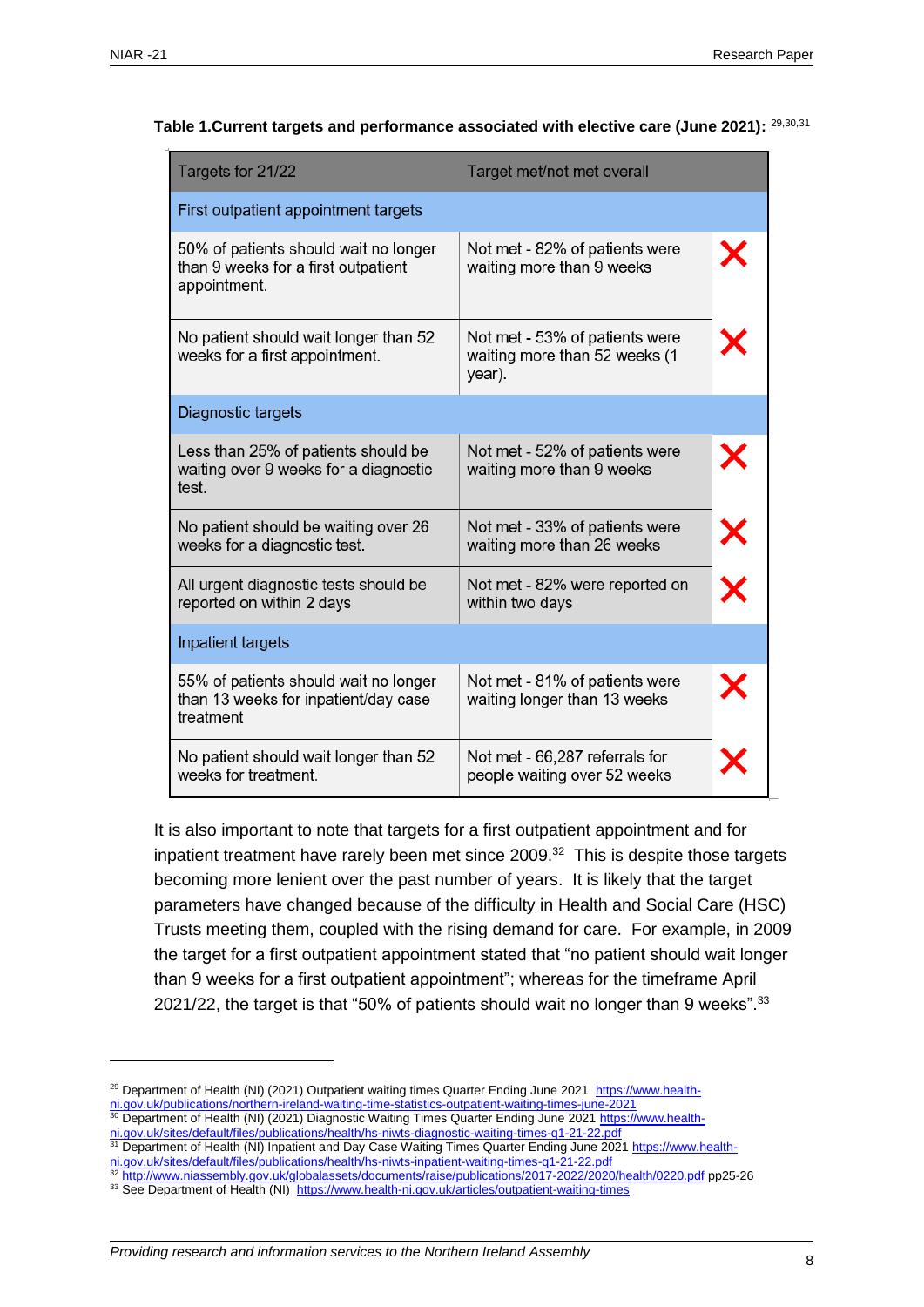| Targets for 21/22                                                                            | Target met/not met overall                                                |                      |  |  |  |  |
|----------------------------------------------------------------------------------------------|---------------------------------------------------------------------------|----------------------|--|--|--|--|
| First outpatient appointment targets                                                         |                                                                           |                      |  |  |  |  |
| 50% of patients should wait no longer<br>than 9 weeks for a first outpatient<br>appointment. | Not met - 82% of patients were<br>waiting more than 9 weeks               |                      |  |  |  |  |
| No patient should wait longer than 52<br>weeks for a first appointment.                      | Not met - 53% of patients were<br>waiting more than 52 weeks (1<br>year). |                      |  |  |  |  |
| Diagnostic targets                                                                           |                                                                           |                      |  |  |  |  |
| Less than 25% of patients should be<br>waiting over 9 weeks for a diagnostic<br>test.        | Not met - 52% of patients were<br>waiting more than 9 weeks               |                      |  |  |  |  |
| No patient should be waiting over 26<br>weeks for a diagnostic test.                         | Not met - 33% of patients were<br>waiting more than 26 weeks              | $\times$<br>$\times$ |  |  |  |  |
| All urgent diagnostic tests should be<br>reported on within 2 days                           | Not met - 82% were reported on<br>within two days                         |                      |  |  |  |  |
| Inpatient targets                                                                            |                                                                           |                      |  |  |  |  |
| 55% of patients should wait no longer<br>than 13 weeks for inpatient/day case<br>treatment   | Not met - 81% of patients were<br>waiting longer than 13 weeks            |                      |  |  |  |  |
| No patient should wait longer than 52<br>weeks for treatment.                                | Not met - 66,287 referrals for<br>people waiting over 52 weeks            |                      |  |  |  |  |

#### **Table 1.Current targets and performance associated with elective care (June 2021):** 29,30,31

It is also important to note that targets for a first outpatient appointment and for inpatient treatment have rarely been met since  $2009.^{32}$  This is despite those targets becoming more lenient over the past number of years. It is likely that the target parameters have changed because of the difficulty in Health and Social Care (HSC) Trusts meeting them, coupled with the rising demand for care. For example, in 2009 the target for a first outpatient appointment stated that "no patient should wait longer than 9 weeks for a first outpatient appointment"; whereas for the timeframe April 2021/22, the target is that "50% of patients should wait no longer than 9 weeks". $33$ 

- [ni.gov.uk/sites/default/files/publications/health/hs-niwts-inpatient-waiting-times-q1-21-22.pdf](https://www.health-ni.gov.uk/sites/default/files/publications/health/hs-niwts-inpatient-waiting-times-q1-21-22.pdf) <sup>32</sup> <http://www.niassembly.gov.uk/globalassets/documents/raise/publications/2017-2022/2020/health/0220.pdf> pp25-26
- 33 See Department of Health (NI)<https://www.health-ni.gov.uk/articles/outpatient-waiting-times>

<sup>&</sup>lt;sup>29</sup> Department of Health (NI) (2021) Outpatient waiting times Quarter Ending June 2021 [https://www.health-](https://www.health-ni.gov.uk/publications/northern-ireland-waiting-time-statistics-outpatient-waiting-times-june-2021)

[ni.gov.uk/publications/northern-ireland-waiting-time-statistics-outpatient-waiting-times-june-2021](https://www.health-ni.gov.uk/publications/northern-ireland-waiting-time-statistics-outpatient-waiting-times-june-2021)

<sup>&</sup>lt;sup>30</sup> Department of Health (NI) (2021) Diagnostic Waiting Times Quarter Ending June 202[1 https://www.health-](https://www.health-ni.gov.uk/sites/default/files/publications/health/hs-niwts-diagnostic-waiting-times-q1-21-22.pdf)

[ni.gov.uk/sites/default/files/publications/health/hs-niwts-diagnostic-waiting-times-q1-21-22.pdf](https://www.health-ni.gov.uk/sites/default/files/publications/health/hs-niwts-diagnostic-waiting-times-q1-21-22.pdf)

<sup>31</sup> Department of Health (NI) Inpatient and Day Case Waiting Times Quarter Ending June 202[1 https://www.health-](https://www.health-ni.gov.uk/sites/default/files/publications/health/hs-niwts-inpatient-waiting-times-q1-21-22.pdf)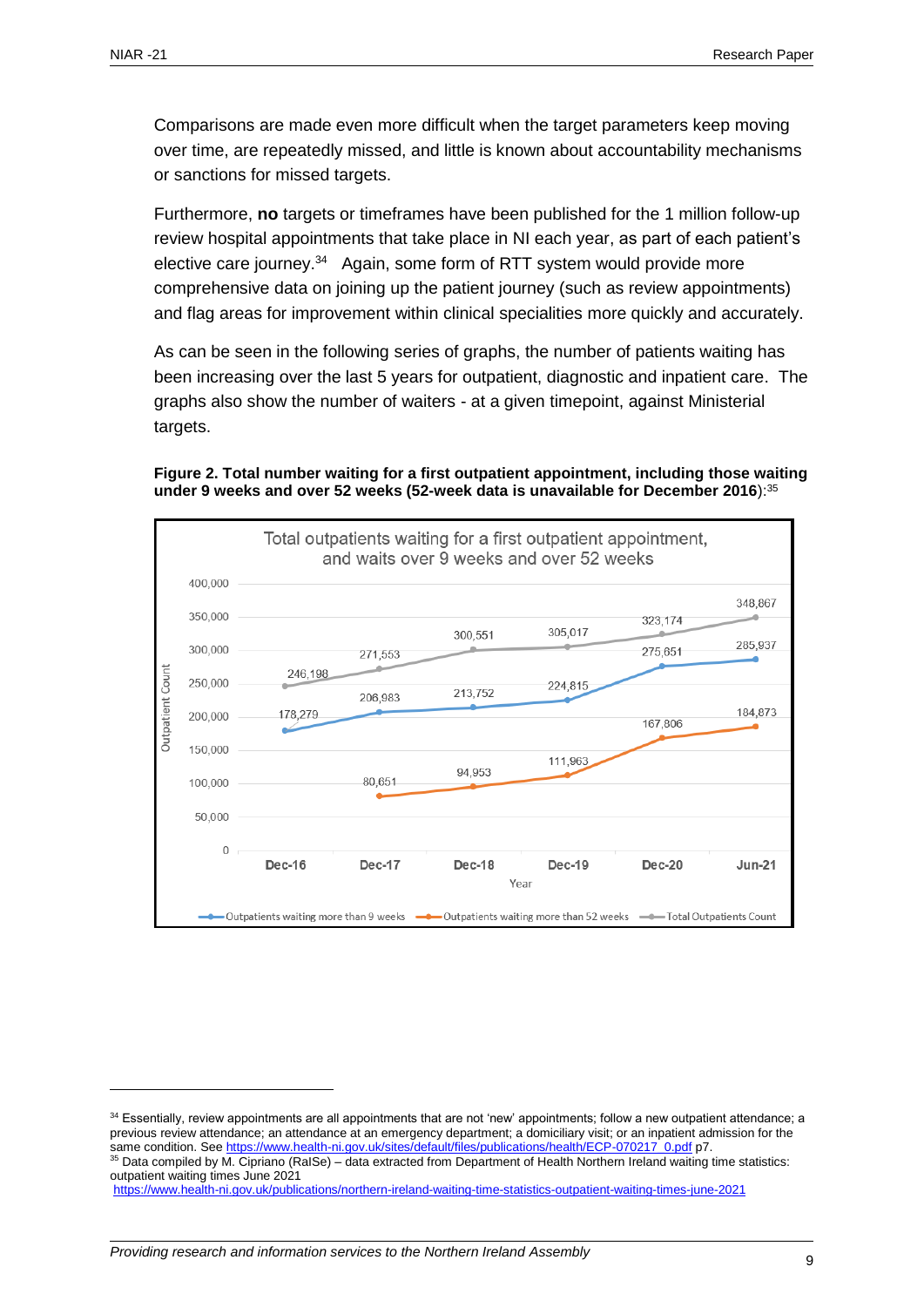Comparisons are made even more difficult when the target parameters keep moving over time, are repeatedly missed, and little is known about accountability mechanisms or sanctions for missed targets.

Furthermore, **no** targets or timeframes have been published for the 1 million follow-up review hospital appointments that take place in NI each year, as part of each patient's elective care journey.<sup>34</sup> Again, some form of RTT system would provide more comprehensive data on joining up the patient journey (such as review appointments) and flag areas for improvement within clinical specialities more quickly and accurately.

As can be seen in the following series of graphs, the number of patients waiting has been increasing over the last 5 years for outpatient, diagnostic and inpatient care. The graphs also show the number of waiters - at a given timepoint, against Ministerial targets.





<sup>34</sup> Essentially, review appointments are all appointments that are not 'new' appointments; follow a new outpatient attendance; a previous review attendance; an attendance at an emergency department; a domiciliary visit; or an inpatient admission for the same condition. Se[e https://www.health-ni.gov.uk/sites/default/files/publications/health/ECP-070217\\_0.pdf](https://www.health-ni.gov.uk/sites/default/files/publications/health/ECP-070217_0.pdf) p7.  $35$  Data compiled by M. Cipriano (RaISe) – data extracted from Department of Health Northern Ireland waiting time statistics: outpatient waiting times June 2021 <https://www.health-ni.gov.uk/publications/northern-ireland-waiting-time-statistics-outpatient-waiting-times-june-2021>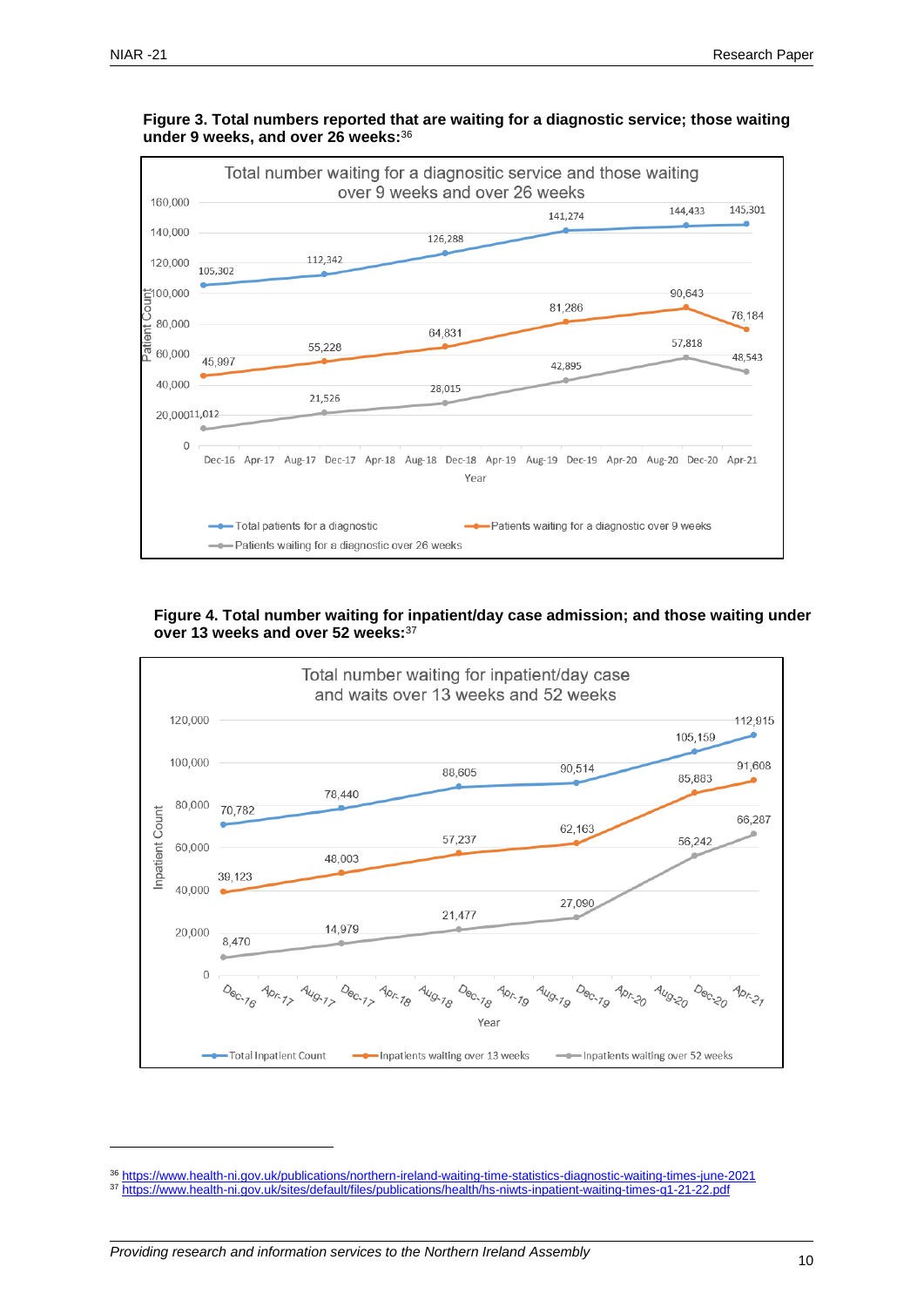

**Figure 3. Total numbers reported that are waiting for a diagnostic service; those waiting under 9 weeks, and over 26 weeks:** 36

**Figure 4. Total number waiting for inpatient/day case admission; and those waiting under over 13 weeks and over 52 weeks:**<sup>37</sup>



<sup>36</sup> <https://www.health-ni.gov.uk/publications/northern-ireland-waiting-time-statistics-diagnostic-waiting-times-june-2021>

<sup>37</sup> <https://www.health-ni.gov.uk/sites/default/files/publications/health/hs-niwts-inpatient-waiting-times-q1-21-22.pdf>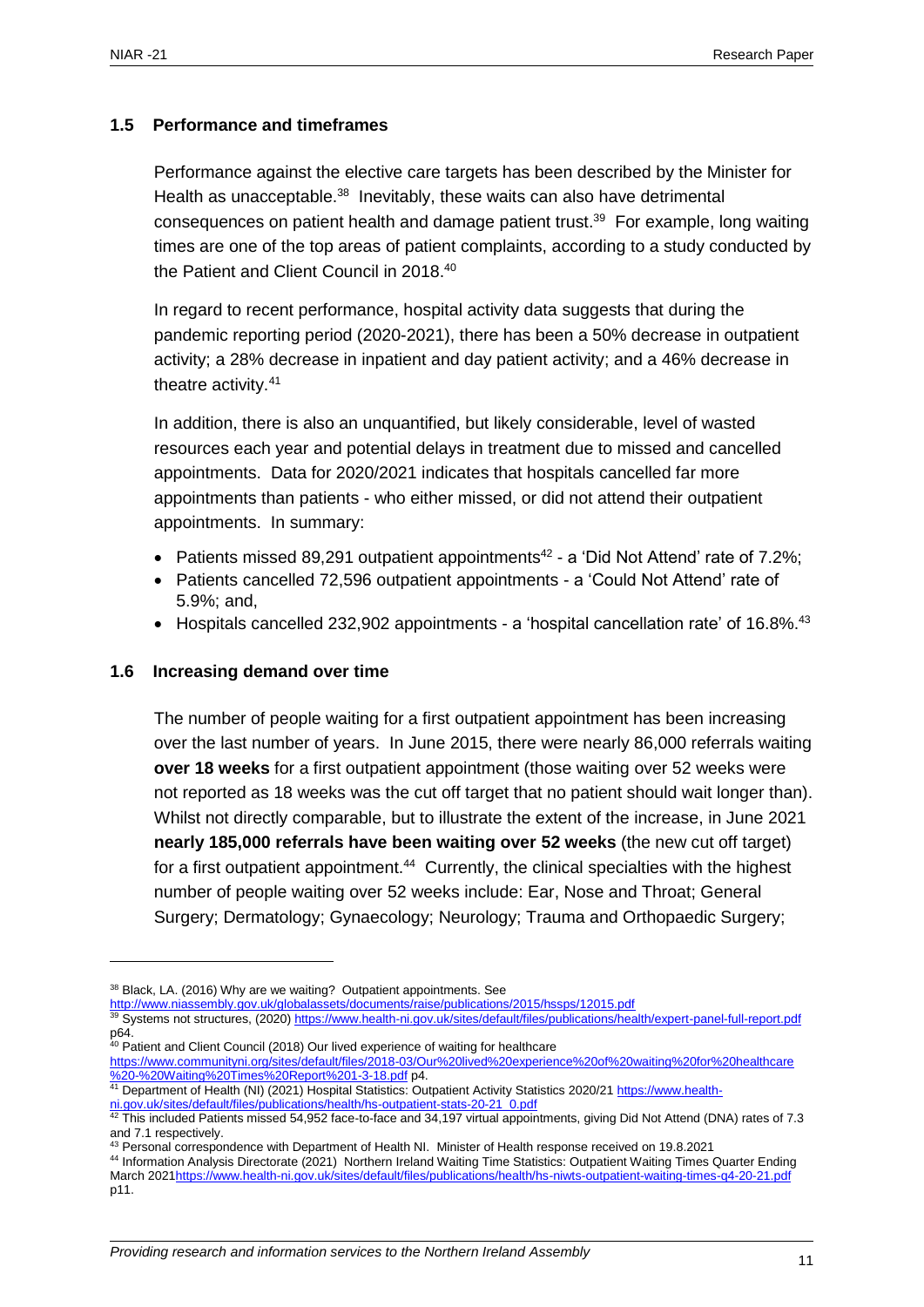#### <span id="page-10-0"></span>**1.5 Performance and timeframes**

Performance against the elective care targets has been described by the Minister for Health as unacceptable.<sup>38</sup> Inevitably, these waits can also have detrimental consequences on patient health and damage patient trust. <sup>39</sup> For example, long waiting times are one of the top areas of patient complaints, according to a study conducted by the Patient and Client Council in 2018.<sup>40</sup>

In regard to recent performance, hospital activity data suggests that during the pandemic reporting period (2020-2021), there has been a 50% decrease in outpatient activity; a 28% decrease in inpatient and day patient activity; and a 46% decrease in theatre activity.<sup>41</sup>

In addition, there is also an unquantified, but likely considerable, level of wasted resources each year and potential delays in treatment due to missed and cancelled appointments. Data for 2020/2021 indicates that hospitals cancelled far more appointments than patients - who either missed, or did not attend their outpatient appointments. In summary:

- Patients missed 89,291 outpatient appointments<sup>42</sup> a 'Did Not Attend' rate of 7.2%;
- Patients cancelled 72,596 outpatient appointments a 'Could Not Attend' rate of 5.9%; and,
- Hospitals cancelled 232,902 appointments a 'hospital cancellation rate' of 16.8%.<sup>43</sup>

#### <span id="page-10-1"></span>**1.6 Increasing demand over time**

 $\overline{a}$ 

The number of people waiting for a first outpatient appointment has been increasing over the last number of years. In June 2015, there were nearly 86,000 referrals waiting **over 18 weeks** for a first outpatient appointment (those waiting over 52 weeks were not reported as 18 weeks was the cut off target that no patient should wait longer than). Whilst not directly comparable, but to illustrate the extent of the increase, in June 2021 **nearly 185,000 referrals have been waiting over 52 weeks** (the new cut off target) for a first outpatient appointment.<sup>44</sup> Currently, the clinical specialties with the highest number of people waiting over 52 weeks include: Ear, Nose and Throat; General Surgery; Dermatology; Gynaecology; Neurology; Trauma and Orthopaedic Surgery;

<sup>39</sup> Systems not structures, (2020)<https://www.health-ni.gov.uk/sites/default/files/publications/health/expert-panel-full-report.pdf> p64.

<sup>&</sup>lt;sup>38</sup> Black, LA. (2016) Why are we waiting? Outpatient appointments. See

<http://www.niassembly.gov.uk/globalassets/documents/raise/publications/2015/hssps/12015.pdf>

<sup>&</sup>lt;sup>40</sup> Patient and Client Council (2018) Our lived experience of waiting for healthcare

[https://www.communityni.org/sites/default/files/2018-03/Our%20lived%20experience%20of%20waiting%20for%20healthcare](https://www.communityni.org/sites/default/files/2018-03/Our%20lived%20experience%20of%20waiting%20for%20healthcare%20%20-%20Waiting%20Times%20Report%201-3-18.pdf)  [%20-%20Waiting%20Times%20Report%201-3-18.pdf](https://www.communityni.org/sites/default/files/2018-03/Our%20lived%20experience%20of%20waiting%20for%20healthcare%20%20-%20Waiting%20Times%20Report%201-3-18.pdf) p4.

<sup>&</sup>lt;sup>41</sup> Department of Health (NI) (2021) Hospital Statistics: Outpatient Activity Statistics 2020/2[1 https://www.health](https://www.health-ni.gov.uk/sites/default/files/publications/health/hs-outpatient-stats-20-21_0.pdf)[ni.gov.uk/sites/default/files/publications/health/hs-outpatient-stats-20-21\\_0.pdf](https://www.health-ni.gov.uk/sites/default/files/publications/health/hs-outpatient-stats-20-21_0.pdf)

 $^{42}$  This included Patients missed 54,952 face-to-face and 34,197 virtual appointments, giving Did Not Attend (DNA) rates of 7.3 and 7.1 respectively.

<sup>43</sup> Personal correspondence with Department of Health NI. Minister of Health response received on 19.8.2021

<sup>44</sup> Information Analysis Directorate (2021) Northern Ireland Waiting Time Statistics: Outpatient Waiting Times Quarter Ending March 202[1https://www.health-ni.gov.uk/sites/default/files/publications/health/hs-niwts-outpatient-waiting-times-q4-20-21.pdf](https://www.health-ni.gov.uk/sites/default/files/publications/health/hs-niwts-outpatient-waiting-times-q4-20-21.pdf) p11.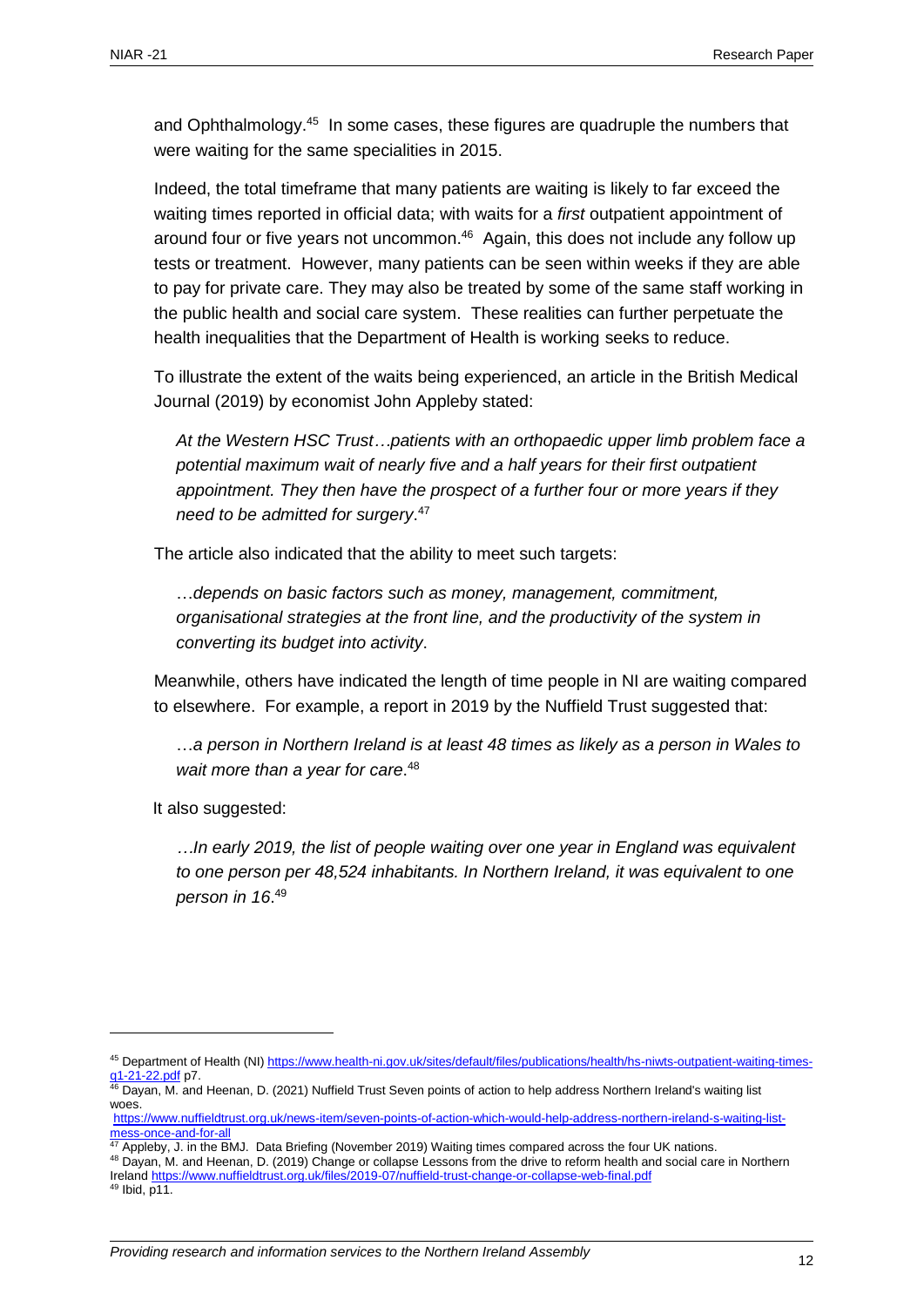and Ophthalmology.<sup>45</sup> In some cases, these figures are quadruple the numbers that were waiting for the same specialities in 2015.

Indeed, the total timeframe that many patients are waiting is likely to far exceed the waiting times reported in official data; with waits for a *first* outpatient appointment of around four or five years not uncommon. <sup>46</sup> Again, this does not include any follow up tests or treatment. However, many patients can be seen within weeks if they are able to pay for private care. They may also be treated by some of the same staff working in the public health and social care system. These realities can further perpetuate the health inequalities that the Department of Health is working seeks to reduce.

To illustrate the extent of the waits being experienced, an article in the British Medical Journal (2019) by economist John Appleby stated:

*At the Western HSC Trust…patients with an orthopaedic upper limb problem face a potential maximum wait of nearly five and a half years for their first outpatient appointment. They then have the prospect of a further four or more years if they need to be admitted for surgery*. 47

The article also indicated that the ability to meet such targets:

…*depends on basic factors such as money, management, commitment, organisational strategies at the front line, and the productivity of the system in converting its budget into activity*.

Meanwhile, others have indicated the length of time people in NI are waiting compared to elsewhere. For example, a report in 2019 by the Nuffield Trust suggested that:

…*a person in Northern Ireland is at least 48 times as likely as a person in Wales to wait more than a year for care*. 48

It also suggested:

*…In early 2019, the list of people waiting over one year in England was equivalent to one person per 48,524 inhabitants. In Northern Ireland, it was equivalent to one person in 16*. 49

<sup>45</sup> Department of Health (NI[\) https://www.health-ni.gov.uk/sites/default/files/publications/health/hs-niwts-outpatient-waiting-times](https://www.health-ni.gov.uk/sites/default/files/publications/health/hs-niwts-outpatient-waiting-times-q1-21-22.pdf)<mark>[q1-21-22.pdf](https://www.health-ni.gov.uk/sites/default/files/publications/health/hs-niwts-outpatient-waiting-times-q1-21-22.pdf)</mark> p7.

<sup>&</sup>lt;sup>46</sup> Dayan, M. and Heenan, D. (2021) Nuffield Trust Seven points of action to help address Northern Ireland's waiting list woes.

[https://www.nuffieldtrust.org.uk/news-item/seven-points-of-action-which-would-help-address-northern-ireland-s-waiting-list](https://www.nuffieldtrust.org.uk/news-item/seven-points-of-action-which-would-help-address-northern-ireland-s-waiting-list-mess-once-and-for-all)[mess-once-and-for-all](https://www.nuffieldtrust.org.uk/news-item/seven-points-of-action-which-would-help-address-northern-ireland-s-waiting-list-mess-once-and-for-all)

<sup>47</sup> Appleby, J. in the BMJ. Data Briefing (November 2019) Waiting times compared across the four UK nations.

<sup>48</sup> Dayan, M. and Heenan, D. (2019) Change or collapse Lessons from the drive to reform health and social care in Northern Irelan[d https://www.nuffieldtrust.org.uk/files/2019-07/nuffield-trust-change-or-collapse-web-final.pdf](https://www.nuffieldtrust.org.uk/files/2019-07/nuffield-trust-change-or-collapse-web-final.pdf)

<sup>49</sup> Ibid, p11.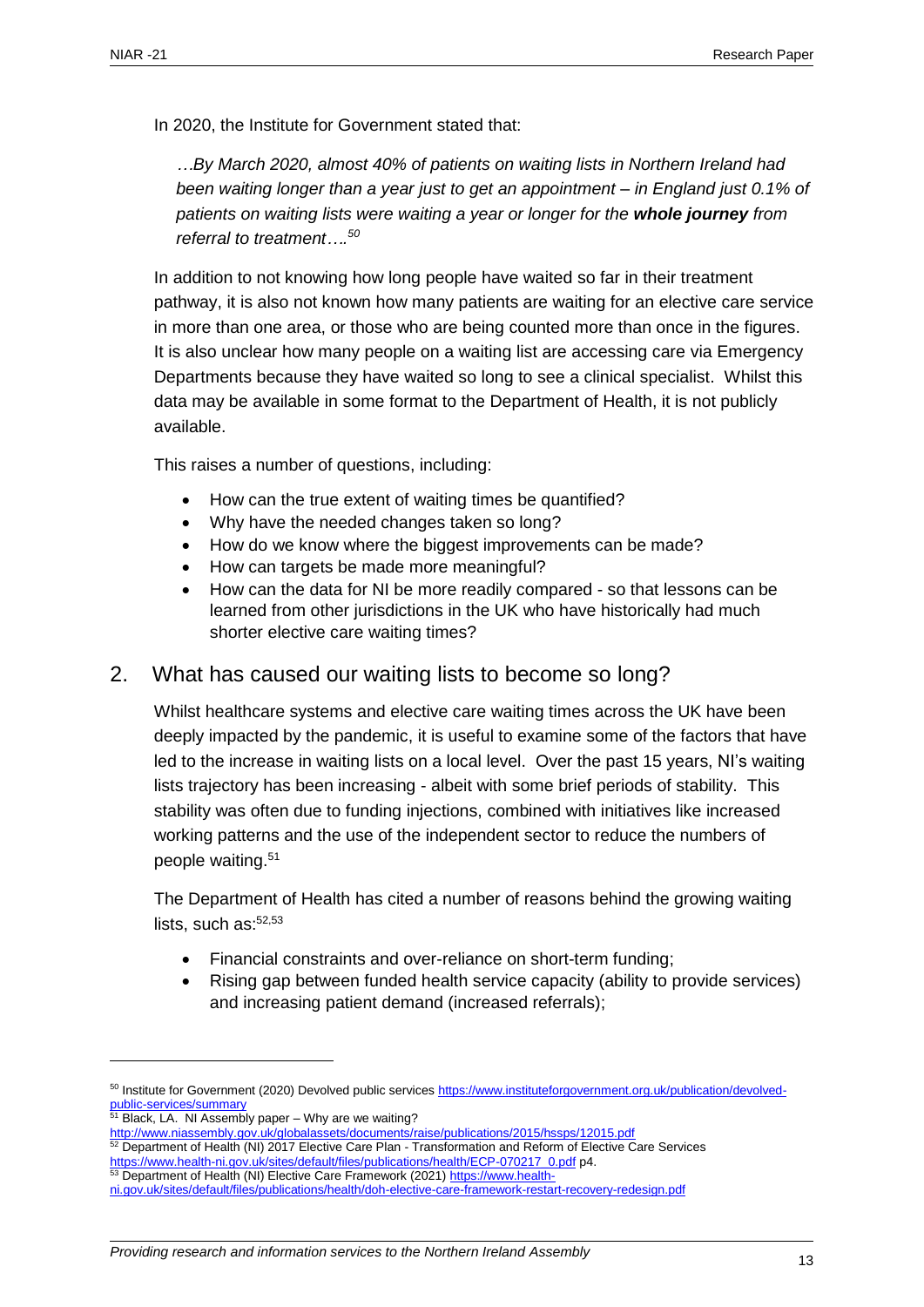In 2020, the Institute for Government stated that:

*…By March 2020, almost 40% of patients on waiting lists in Northern Ireland had been waiting longer than a year just to get an appointment – in England just 0.1% of patients on waiting lists were waiting a year or longer for the whole journey from referral to treatment…. 50*

In addition to not knowing how long people have waited so far in their treatment pathway, it is also not known how many patients are waiting for an elective care service in more than one area, or those who are being counted more than once in the figures. It is also unclear how many people on a waiting list are accessing care via Emergency Departments because they have waited so long to see a clinical specialist. Whilst this data may be available in some format to the Department of Health, it is not publicly available.

This raises a number of questions, including:

- How can the true extent of waiting times be quantified?
- Why have the needed changes taken so long?
- How do we know where the biggest improvements can be made?
- How can targets be made more meaningful?
- How can the data for NI be more readily compared so that lessons can be learned from other jurisdictions in the UK who have historically had much shorter elective care waiting times?

## <span id="page-12-0"></span>2. What has caused our waiting lists to become so long?

Whilst healthcare systems and elective care waiting times across the UK have been deeply impacted by the pandemic, it is useful to examine some of the factors that have led to the increase in waiting lists on a local level. Over the past 15 years, NI's waiting lists trajectory has been increasing - albeit with some brief periods of stability. This stability was often due to funding injections, combined with initiatives like increased working patterns and the use of the independent sector to reduce the numbers of people waiting.<sup>51</sup>

The Department of Health has cited a number of reasons behind the growing waiting lists, such as: 52,53

- Financial constraints and over-reliance on short-term funding;
- Rising gap between funded health service capacity (ability to provide services) and increasing patient demand (increased referrals);

- 52 Department of Health (NI) 2017 Elective Care Plan Transformation and Reform of Elective Care Services [https://www.health-ni.gov.uk/sites/default/files/publications/health/ECP-070217\\_0.pdf](https://www.health-ni.gov.uk/sites/default/files/publications/health/ECP-070217_0.pdf) p4.
- 53 Department of Health (NI) Elective Care Framework (2021) [https://www.health-](https://www.health-ni.gov.uk/sites/default/files/publications/health/doh-elective-care-framework-restart-recovery-redesign.pdf)

<sup>&</sup>lt;sup>50</sup> Institute for Government (2020) Devolved public service[s https://www.instituteforgovernment.org.uk/publication/devolved](https://www.instituteforgovernment.org.uk/publication/devolved-public-services/summary)[public-services/summary](https://www.instituteforgovernment.org.uk/publication/devolved-public-services/summary)

<sup>&</sup>lt;sup>51</sup> Black, LA. NI Assembly paper – Why are we waiting?

<http://www.niassembly.gov.uk/globalassets/documents/raise/publications/2015/hssps/12015.pdf>

[ni.gov.uk/sites/default/files/publications/health/doh-elective-care-framework-restart-recovery-redesign.pdf](https://www.health-ni.gov.uk/sites/default/files/publications/health/doh-elective-care-framework-restart-recovery-redesign.pdf)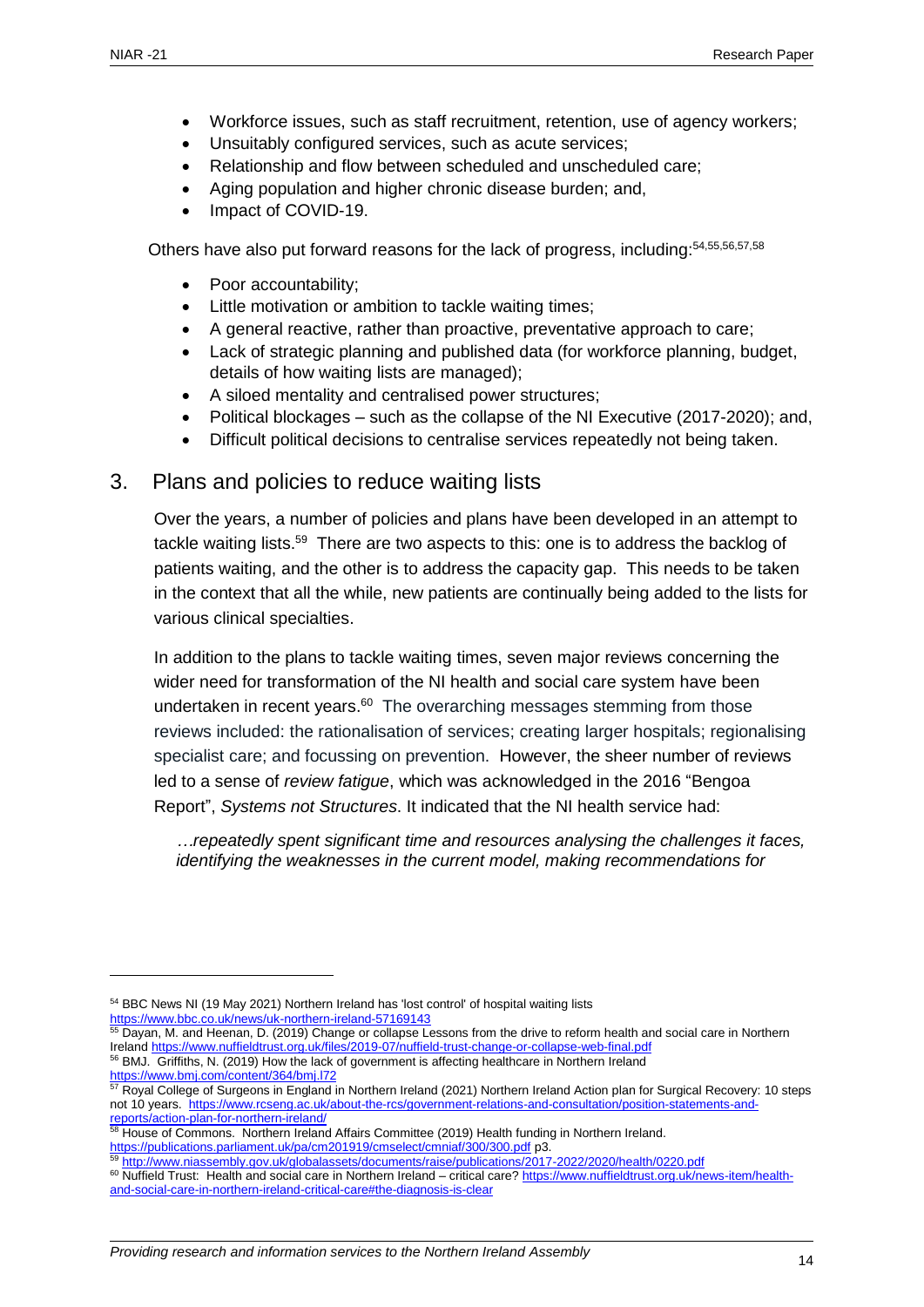- Workforce issues, such as staff recruitment, retention, use of agency workers;
- Unsuitably configured services, such as acute services;
- Relationship and flow between scheduled and unscheduled care;
- Aging population and higher chronic disease burden; and,
- Impact of COVID-19.

Others have also put forward reasons for the lack of progress, including: 54, 55, 56, 57, 58

- Poor accountability:
- Little motivation or ambition to tackle waiting times;
- A general reactive, rather than proactive, preventative approach to care;
- Lack of strategic planning and published data (for workforce planning, budget, details of how waiting lists are managed);
- A siloed mentality and centralised power structures;
- Political blockages such as the collapse of the NI Executive (2017-2020); and,
- Difficult political decisions to centralise services repeatedly not being taken.

#### <span id="page-13-0"></span>3. Plans and policies to reduce waiting lists

Over the years, a number of policies and plans have been developed in an attempt to tackle waiting lists.<sup>59</sup> There are two aspects to this: one is to address the backlog of patients waiting, and the other is to address the capacity gap. This needs to be taken in the context that all the while, new patients are continually being added to the lists for various clinical specialties.

In addition to the plans to tackle waiting times, seven major reviews concerning the wider need for transformation of the NI health and social care system have been undertaken in recent years.<sup>60</sup> The overarching messages stemming from those reviews included: the rationalisation of services; creating larger hospitals; regionalising specialist care; and focussing on prevention. However, the sheer number of reviews led to a sense of *review fatigue*, which was acknowledged in the 2016 "Bengoa Report", *Systems not Structures*. It indicated that the NI health service had:

*…repeatedly spent significant time and resources analysing the challenges it faces, identifying the weaknesses in the current model, making recommendations for* 

<sup>54</sup> BBC News NI (19 May 2021) Northern Ireland has 'lost control' of hospital waiting lists <https://www.bbc.co.uk/news/uk-northern-ireland-57169143>

<sup>&</sup>lt;sup>55</sup> Dayan, M. and Heenan, D. (2019) Change or collapse Lessons from the drive to reform health and social care in Northern Irelan[d https://www.nuffieldtrust.org.uk/files/2019-07/nuffield-trust-change-or-collapse-web-final.pdf](https://www.nuffieldtrust.org.uk/files/2019-07/nuffield-trust-change-or-collapse-web-final.pdf) <sup>56</sup> BMJ. Griffiths, N. (2019) How the lack of government is affecting healthcare in Northern Ireland

<https://www.bmj.com/content/364/bmj.l72>

<sup>&</sup>lt;sup>57</sup> Royal College of Surgeons in England in Northern Ireland (2021) Northern Ireland Action plan for Surgical Recovery: 10 steps not 10 years. [https://www.rcseng.ac.uk/about-the-rcs/government-relations-and-consultation/position-statements-and](https://www.rcseng.ac.uk/about-the-rcs/government-relations-and-consultation/position-statements-and-reports/action-plan-for-northern-ireland/)[reports/action-plan-for-northern-ireland/](https://www.rcseng.ac.uk/about-the-rcs/government-relations-and-consultation/position-statements-and-reports/action-plan-for-northern-ireland/)

<sup>&</sup>lt;sup>58</sup> House of Commons. Northern Ireland Affairs Committee (2019) Health funding in Northern Ireland. <https://publications.parliament.uk/pa/cm201919/cmselect/cmniaf/300/300.pdf> p3.

<sup>59</sup> <http://www.niassembly.gov.uk/globalassets/documents/raise/publications/2017-2022/2020/health/0220.pdf>

<sup>&</sup>lt;sup>60</sup> Nuffield Trust: Health and social care in Northern Ireland – critical care[? https://www.nuffieldtrust.org.uk/news-item/health](https://www.nuffieldtrust.org.uk/news-item/health-and-social-care-in-northern-ireland-critical-care#the-diagnosis-is-clear)[and-social-care-in-northern-ireland-critical-care#the-diagnosis-is-clear](https://www.nuffieldtrust.org.uk/news-item/health-and-social-care-in-northern-ireland-critical-care#the-diagnosis-is-clear)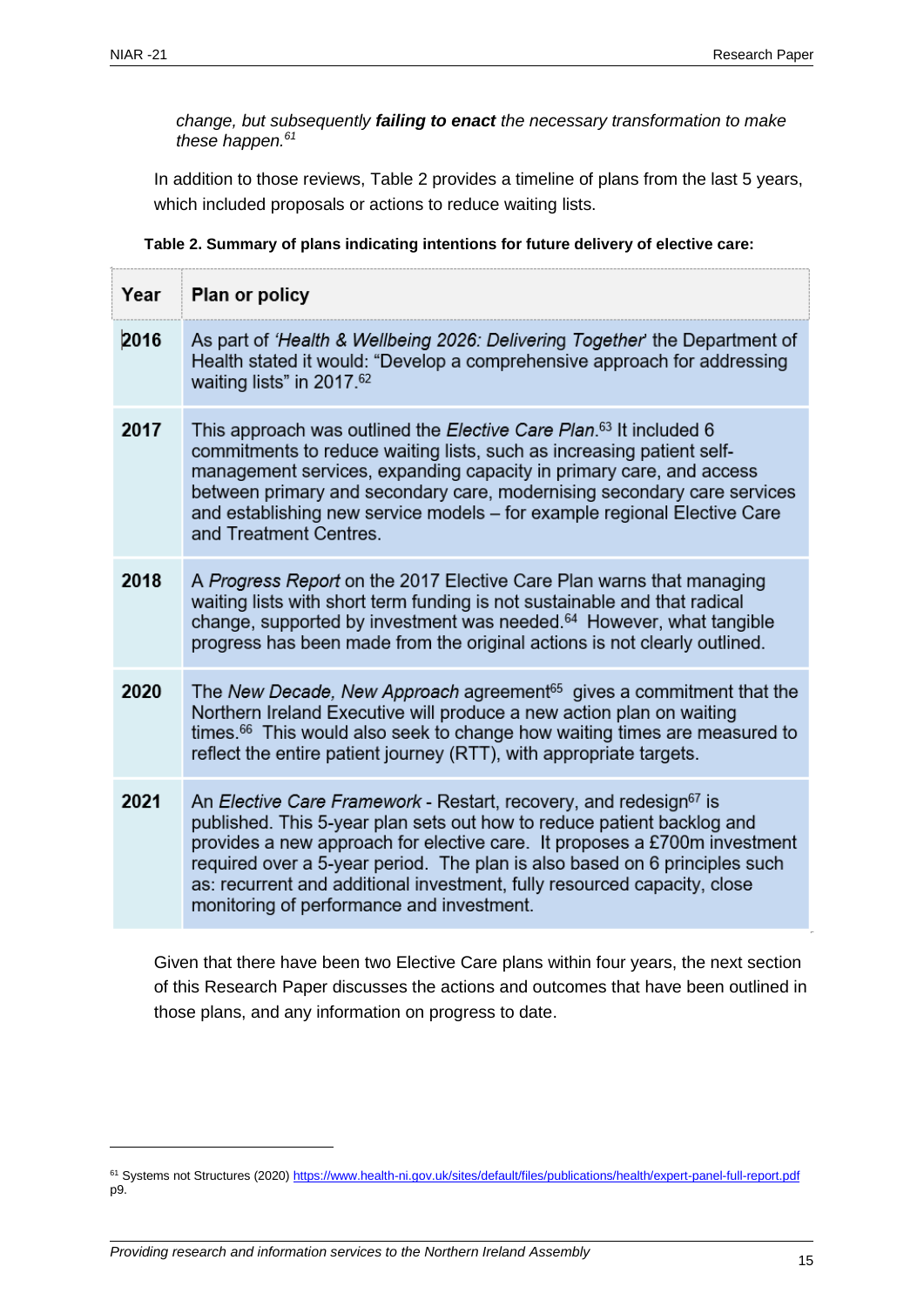*change, but subsequently failing to enact the necessary transformation to make these happen.<sup>61</sup>*

In addition to those reviews, Table 2 provides a timeline of plans from the last 5 years, which included proposals or actions to reduce waiting lists.

 **Table 2. Summary of plans indicating intentions for future delivery of elective care:**

| Year | Plan or policy                                                                                                                                                                                                                                                                                                                                                                                                                              |
|------|---------------------------------------------------------------------------------------------------------------------------------------------------------------------------------------------------------------------------------------------------------------------------------------------------------------------------------------------------------------------------------------------------------------------------------------------|
| 2016 | As part of 'Health & Wellbeing 2026: Delivering Together' the Department of<br>Health stated it would: "Develop a comprehensive approach for addressing<br>waiting lists" in 2017.62                                                                                                                                                                                                                                                        |
| 2017 | This approach was outlined the Elective Care Plan. <sup>63</sup> It included 6<br>commitments to reduce waiting lists, such as increasing patient self-<br>management services, expanding capacity in primary care, and access<br>between primary and secondary care, modernising secondary care services<br>and establishing new service models - for example regional Elective Care<br>and Treatment Centres.                             |
| 2018 | A Progress Report on the 2017 Elective Care Plan warns that managing<br>waiting lists with short term funding is not sustainable and that radical<br>change, supported by investment was needed. <sup>64</sup> However, what tangible<br>progress has been made from the original actions is not clearly outlined.                                                                                                                          |
| 2020 | The New Decade, New Approach agreement <sup>65</sup> gives a commitment that the<br>Northern Ireland Executive will produce a new action plan on waiting<br>times. <sup>66</sup> This would also seek to change how waiting times are measured to<br>reflect the entire patient journey (RTT), with appropriate targets.                                                                                                                    |
| 2021 | An Elective Care Framework - Restart, recovery, and redesign <sup>67</sup> is<br>published. This 5-year plan sets out how to reduce patient backlog and<br>provides a new approach for elective care. It proposes a £700m investment<br>required over a 5-year period. The plan is also based on 6 principles such<br>as: recurrent and additional investment, fully resourced capacity, close<br>monitoring of performance and investment. |

Given that there have been two Elective Care plans within four years, the next section of this Research Paper discusses the actions and outcomes that have been outlined in those plans, and any information on progress to date.

<sup>&</sup>lt;sup>61</sup> Systems not Structures (2020)<https://www.health-ni.gov.uk/sites/default/files/publications/health/expert-panel-full-report.pdf> p9.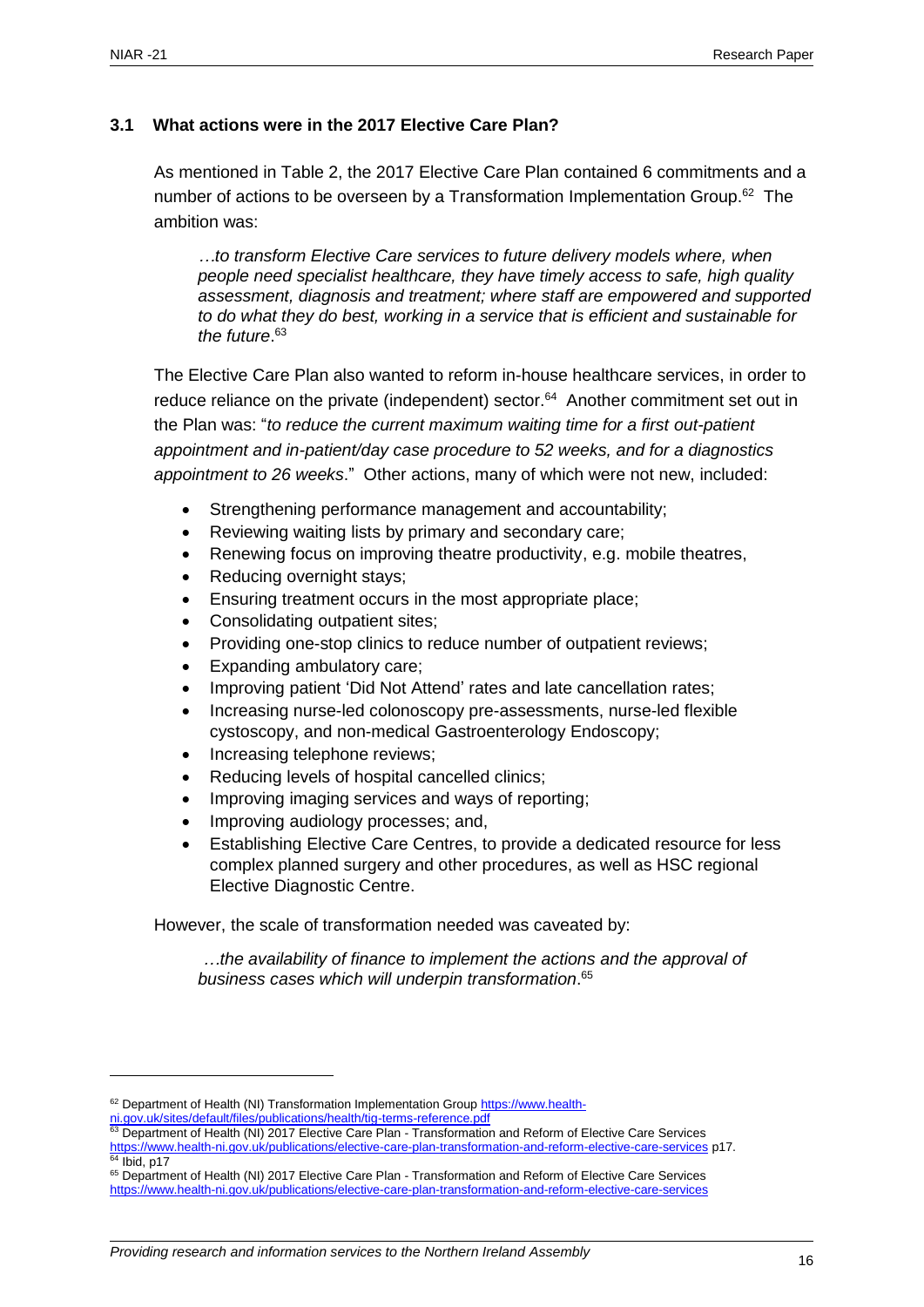#### <span id="page-15-0"></span>**3.1 What actions were in the 2017 Elective Care Plan?**

As mentioned in Table 2, the 2017 Elective Care Plan contained 6 commitments and a number of actions to be overseen by a Transformation Implementation Group.<sup>62</sup> The ambition was:

*…to transform Elective Care services to future delivery models where, when people need specialist healthcare, they have timely access to safe, high quality assessment, diagnosis and treatment; where staff are empowered and supported to do what they do best, working in a service that is efficient and sustainable for the future*. 63

The Elective Care Plan also wanted to reform in-house healthcare services, in order to reduce reliance on the private (independent) sector.<sup>64</sup> Another commitment set out in the Plan was: "*to reduce the current maximum waiting time for a first out-patient appointment and in-patient/day case procedure to 52 weeks, and for a diagnostics appointment to 26 weeks*." Other actions, many of which were not new, included:

- Strengthening performance management and accountability;
- Reviewing waiting lists by primary and secondary care;
- Renewing focus on improving theatre productivity, e.g. mobile theatres,
- Reducing overnight stays;
- Ensuring treatment occurs in the most appropriate place;
- Consolidating outpatient sites;
- Providing one-stop clinics to reduce number of outpatient reviews;
- Expanding ambulatory care;
- Improving patient 'Did Not Attend' rates and late cancellation rates;
- Increasing nurse-led colonoscopy pre-assessments, nurse-led flexible cystoscopy, and non-medical Gastroenterology Endoscopy;
- Increasing telephone reviews;
- Reducing levels of hospital cancelled clinics:
- Improving imaging services and ways of reporting;
- Improving audiology processes; and,
- Establishing Elective Care Centres, to provide a dedicated resource for less complex planned surgery and other procedures, as well as HSC regional Elective Diagnostic Centre.

However, the scale of transformation needed was caveated by:

*…the availability of finance to implement the actions and the approval of business cases which will underpin transformation*. 65

<sup>62</sup> Department of Health (NI) Transformation Implementation Group [https://www.health-](https://www.health-ni.gov.uk/sites/default/files/publications/health/tig-terms-reference.pdf)

[ni.gov.uk/sites/default/files/publications/health/tig-terms-reference.pdf](https://www.health-ni.gov.uk/sites/default/files/publications/health/tig-terms-reference.pdf)

<sup>63</sup> Department of Health (NI) 2017 Elective Care Plan - Transformation and Reform of Elective Care Services <https://www.health-ni.gov.uk/publications/elective-care-plan-transformation-and-reform-elective-care-services> p17.  $4$  Ibid, p17

<sup>&</sup>lt;sup>65</sup> Department of Health (NI) 2017 Elective Care Plan - Transformation and Reform of Elective Care Services <https://www.health-ni.gov.uk/publications/elective-care-plan-transformation-and-reform-elective-care-services>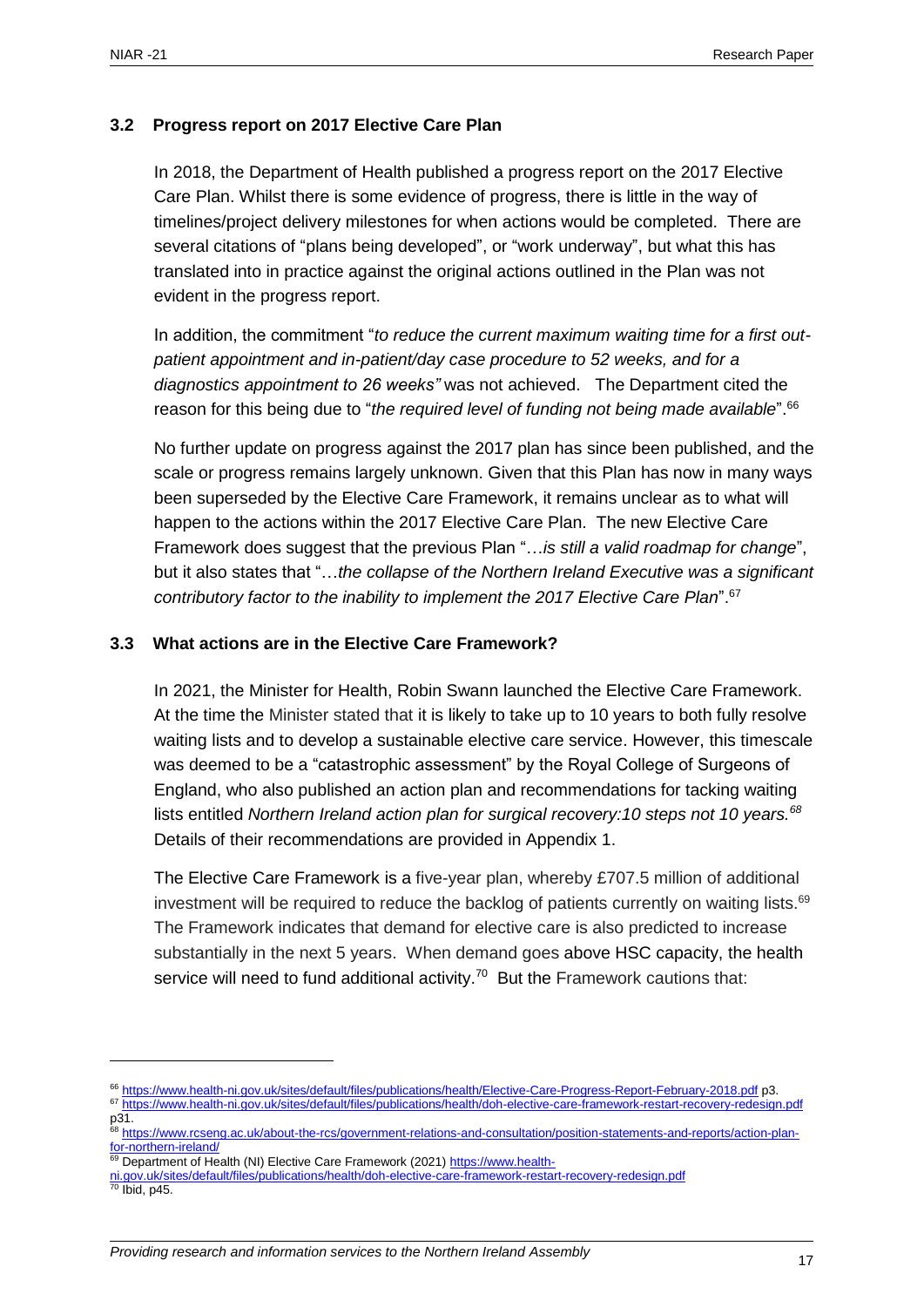#### <span id="page-16-0"></span>**3.2 Progress report on 2017 Elective Care Plan**

In 2018, the Department of Health published a progress report on the 2017 Elective Care Plan. Whilst there is some evidence of progress, there is little in the way of timelines/project delivery milestones for when actions would be completed. There are several citations of "plans being developed", or "work underway", but what this has translated into in practice against the original actions outlined in the Plan was not evident in the progress report.

In addition, the commitment "*to reduce the current maximum waiting time for a first outpatient appointment and in-patient/day case procedure to 52 weeks, and for a diagnostics appointment to 26 weeks"* was not achieved. The Department cited the reason for this being due to "*the required level of funding not being made available*". 66

No further update on progress against the 2017 plan has since been published, and the scale or progress remains largely unknown. Given that this Plan has now in many ways been superseded by the Elective Care Framework, it remains unclear as to what will happen to the actions within the 2017 Elective Care Plan. The new Elective Care Framework does suggest that the previous Plan "…*is still a valid roadmap for change*", but it also states that "…*the collapse of the Northern Ireland Executive was a significant contributory factor to the inability to implement the 2017 Elective Care Plan*". 67

#### <span id="page-16-1"></span>**3.3 What actions are in the Elective Care Framework?**

In 2021, the Minister for Health, Robin Swann launched the Elective Care Framework. At the time the Minister stated that it is likely to take up to 10 years to both fully resolve waiting lists and to develop a sustainable elective care service. However, this timescale was deemed to be a "catastrophic assessment" by the Royal College of Surgeons of England, who also published an action plan and recommendations for tacking waiting lists entitled *Northern Ireland action plan for surgical recovery:10 steps not 10 years.<sup>68</sup>* Details of their recommendations are provided in Appendix 1.

The Elective Care Framework is a five-year plan, whereby £707.5 million of additional investment will be required to reduce the backlog of patients currently on waiting lists.<sup>69</sup> The Framework indicates that demand for elective care is also predicted to increase substantially in the next 5 years. When demand goes above HSC capacity, the health service will need to fund additional activity.<sup>70</sup> But the Framework cautions that:

<sup>66</sup> <https://www.health-ni.gov.uk/sites/default/files/publications/health/Elective-Care-Progress-Report-February-2018.pdf> p3.

<sup>67</sup> <https://www.health-ni.gov.uk/sites/default/files/publications/health/doh-elective-care-framework-restart-recovery-redesign.pdf> p31.

<sup>&</sup>lt;sup>8</sup> [https://www.rcseng.ac.uk/about-the-rcs/government-relations-and-consultation/position-statements-and-reports/action-plan](https://www.rcseng.ac.uk/about-the-rcs/government-relations-and-consultation/position-statements-and-reports/action-plan-for-northern-ireland/)[for-northern-ireland/](https://www.rcseng.ac.uk/about-the-rcs/government-relations-and-consultation/position-statements-and-reports/action-plan-for-northern-ireland/)

<sup>&</sup>lt;sup>9</sup> Department of Health (NI) Elective Care Framework (2021) [https://www.health-](https://www.health-ni.gov.uk/sites/default/files/publications/health/doh-elective-care-framework-restart-recovery-redesign.pdf)

[ni.gov.uk/sites/default/files/publications/health/doh-elective-care-framework-restart-recovery-redesign.pdf](https://www.health-ni.gov.uk/sites/default/files/publications/health/doh-elective-care-framework-restart-recovery-redesign.pdf)

 $70$  Ibid, p45.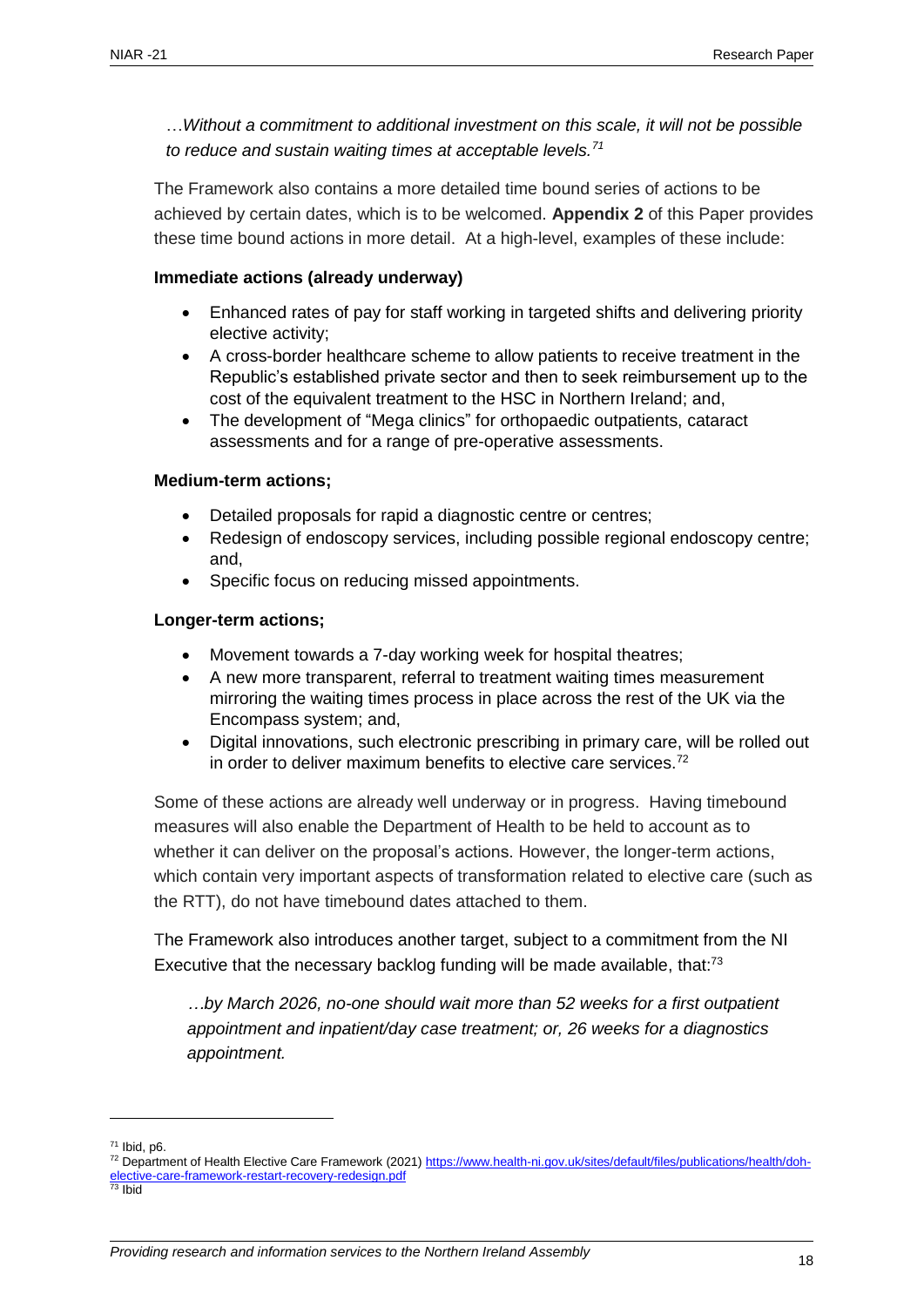…*Without a commitment to additional investment on this scale, it will not be possible to reduce and sustain waiting times at acceptable levels.<sup>71</sup>*

The Framework also contains a more detailed time bound series of actions to be achieved by certain dates, which is to be welcomed. **Appendix 2** of this Paper provides these time bound actions in more detail. At a high-level, examples of these include:

#### **Immediate actions (already underway)**

- Enhanced rates of pay for staff working in targeted shifts and delivering priority elective activity;
- A cross-border healthcare scheme to allow patients to receive treatment in the Republic's established private sector and then to seek reimbursement up to the cost of the equivalent treatment to the HSC in Northern Ireland; and,
- The development of "Mega clinics" for orthopaedic outpatients, cataract assessments and for a range of pre-operative assessments.

#### **Medium-term actions;**

- Detailed proposals for rapid a diagnostic centre or centres;
- Redesign of endoscopy services, including possible regional endoscopy centre; and,
- Specific focus on reducing missed appointments.

#### **Longer-term actions;**

- Movement towards a 7-day working week for hospital theatres;
- A new more transparent, referral to treatment waiting times measurement mirroring the waiting times process in place across the rest of the UK via the Encompass system; and,
- Digital innovations, such electronic prescribing in primary care, will be rolled out in order to deliver maximum benefits to elective care services.<sup>72</sup>

Some of these actions are already well underway or in progress. Having timebound measures will also enable the Department of Health to be held to account as to whether it can deliver on the proposal's actions. However, the longer-term actions, which contain very important aspects of transformation related to elective care (such as the RTT), do not have timebound dates attached to them.

The Framework also introduces another target, subject to a commitment from the NI Executive that the necessary backlog funding will be made available, that:<sup>73</sup>

*…by March 2026, no-one should wait more than 52 weeks for a first outpatient appointment and inpatient/day case treatment; or, 26 weeks for a diagnostics appointment.*

<sup>71</sup> Ibid, p6.

<sup>72</sup> Department of Health Elective Care Framework (2021[\) https://www.health-ni.gov.uk/sites/default/files/publications/health/doh](https://www.health-ni.gov.uk/sites/default/files/publications/health/doh-elective-care-framework-restart-recovery-redesign.pdf)[elective-care-framework-restart-recovery-redesign.pdf](https://www.health-ni.gov.uk/sites/default/files/publications/health/doh-elective-care-framework-restart-recovery-redesign.pdf)

<sup>73</sup> Ibid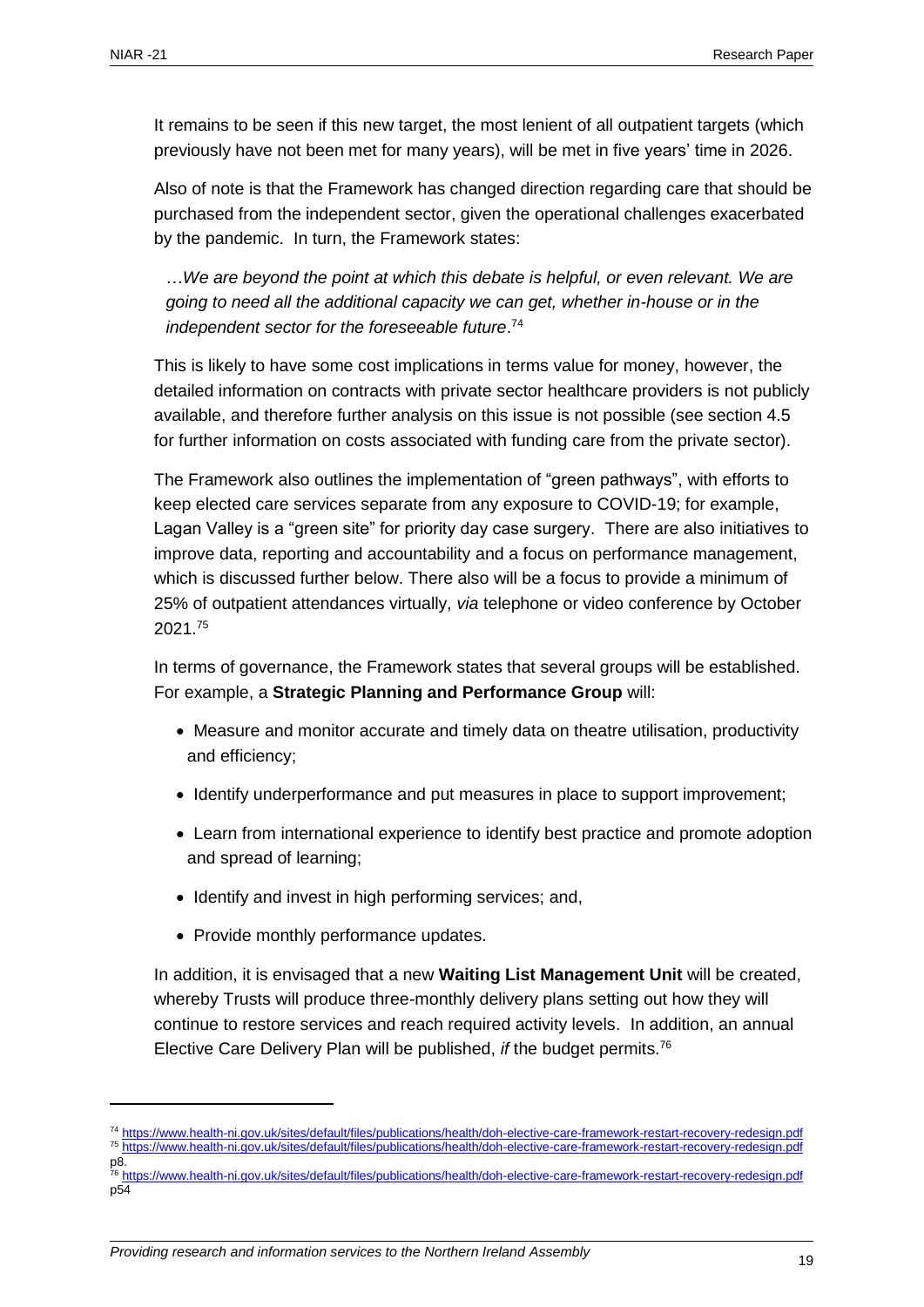It remains to be seen if this new target, the most lenient of all outpatient targets (which previously have not been met for many years), will be met in five years' time in 2026.

Also of note is that the Framework has changed direction regarding care that should be purchased from the independent sector, given the operational challenges exacerbated by the pandemic. In turn, the Framework states:

…*We are beyond the point at which this debate is helpful, or even relevant. We are going to need all the additional capacity we can get, whether in-house or in the independent sector for the foreseeable future*. 74

This is likely to have some cost implications in terms value for money, however, the detailed information on contracts with private sector healthcare providers is not publicly available, and therefore further analysis on this issue is not possible (see section 4.5 for further information on costs associated with funding care from the private sector).

The Framework also outlines the implementation of "green pathways", with efforts to keep elected care services separate from any exposure to COVID-19; for example, Lagan Valley is a "green site" for priority day case surgery. There are also initiatives to improve data, reporting and accountability and a focus on performance management, which is discussed further below. There also will be a focus to provide a minimum of 25% of outpatient attendances virtually, *via* telephone or video conference by October 2021.<sup>75</sup>

In terms of governance, the Framework states that several groups will be established. For example, a **Strategic Planning and Performance Group** will:

- Measure and monitor accurate and timely data on theatre utilisation, productivity and efficiency;
- Identify underperformance and put measures in place to support improvement;
- Learn from international experience to identify best practice and promote adoption and spread of learning;
- Identify and invest in high performing services; and,
- Provide monthly performance updates.

In addition, it is envisaged that a new **Waiting List Management Unit** will be created, whereby Trusts will produce three-monthly delivery plans setting out how they will continue to restore services and reach required activity levels. In addition, an annual Elective Care Delivery Plan will be published, *if* the budget permits.<sup>76</sup>

<sup>76</sup> <https://www.health-ni.gov.uk/sites/default/files/publications/health/doh-elective-care-framework-restart-recovery-redesign.pdf>  $p\overline{54}$ 

*Providing research and information services to the Northern Ireland Assembly* 19

<sup>74</sup> <https://www.health-ni.gov.uk/sites/default/files/publications/health/doh-elective-care-framework-restart-recovery-redesign.pdf> <sup>75</sup> <https://www.health-ni.gov.uk/sites/default/files/publications/health/doh-elective-care-framework-restart-recovery-redesign.pdf> p8.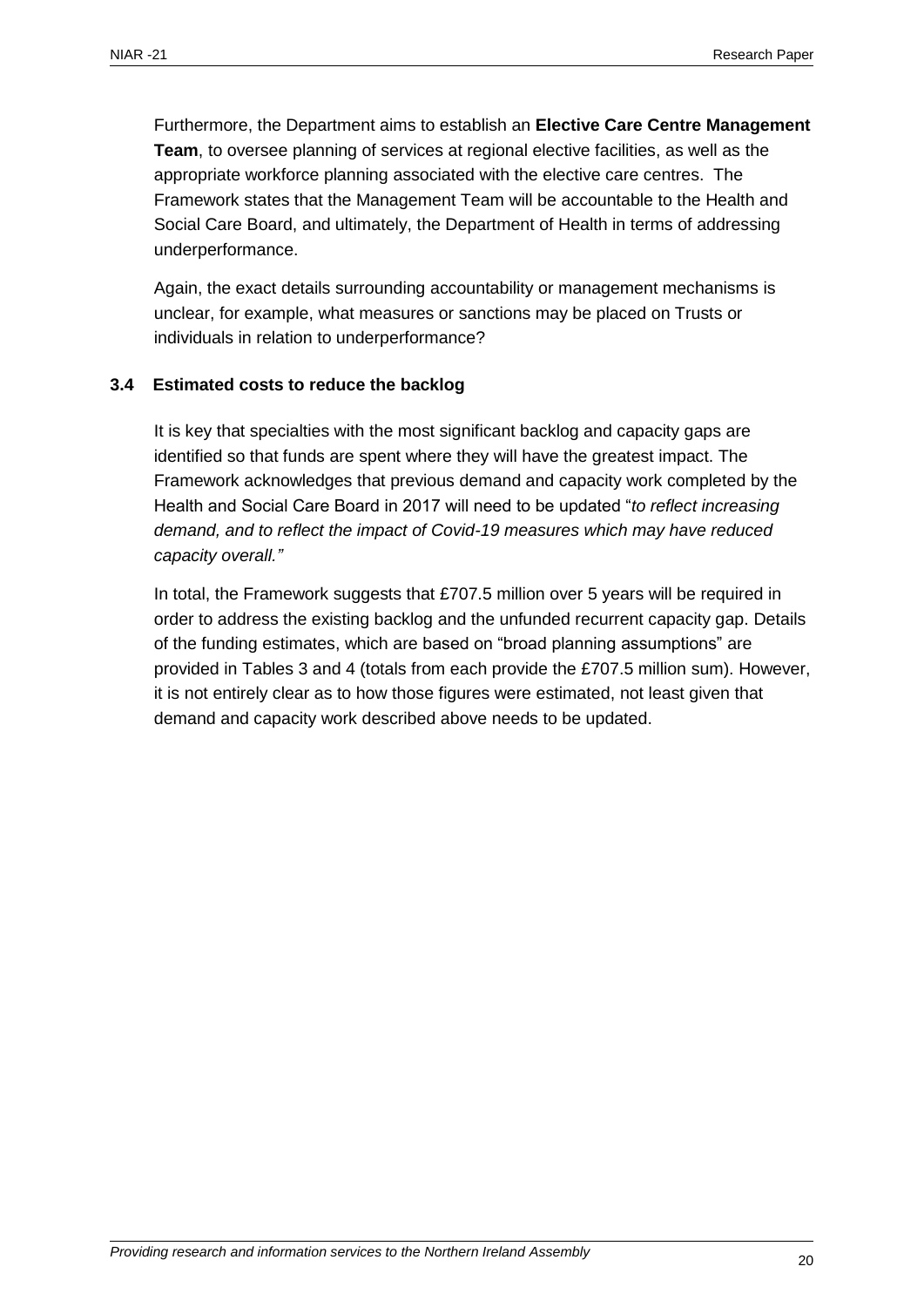Furthermore, the Department aims to establish an **Elective Care Centre Management Team**, to oversee planning of services at regional elective facilities, as well as the appropriate workforce planning associated with the elective care centres. The Framework states that the Management Team will be accountable to the Health and Social Care Board, and ultimately, the Department of Health in terms of addressing underperformance.

Again, the exact details surrounding accountability or management mechanisms is unclear, for example, what measures or sanctions may be placed on Trusts or individuals in relation to underperformance?

#### <span id="page-19-0"></span>**3.4 Estimated costs to reduce the backlog**

It is key that specialties with the most significant backlog and capacity gaps are identified so that funds are spent where they will have the greatest impact. The Framework acknowledges that previous demand and capacity work completed by the Health and Social Care Board in 2017 will need to be updated "*to reflect increasing demand, and to reflect the impact of Covid-19 measures which may have reduced capacity overall."* 

In total, the Framework suggests that £707.5 million over 5 years will be required in order to address the existing backlog and the unfunded recurrent capacity gap. Details of the funding estimates, which are based on "broad planning assumptions" are provided in Tables 3 and 4 (totals from each provide the £707.5 million sum). However, it is not entirely clear as to how those figures were estimated, not least given that demand and capacity work described above needs to be updated.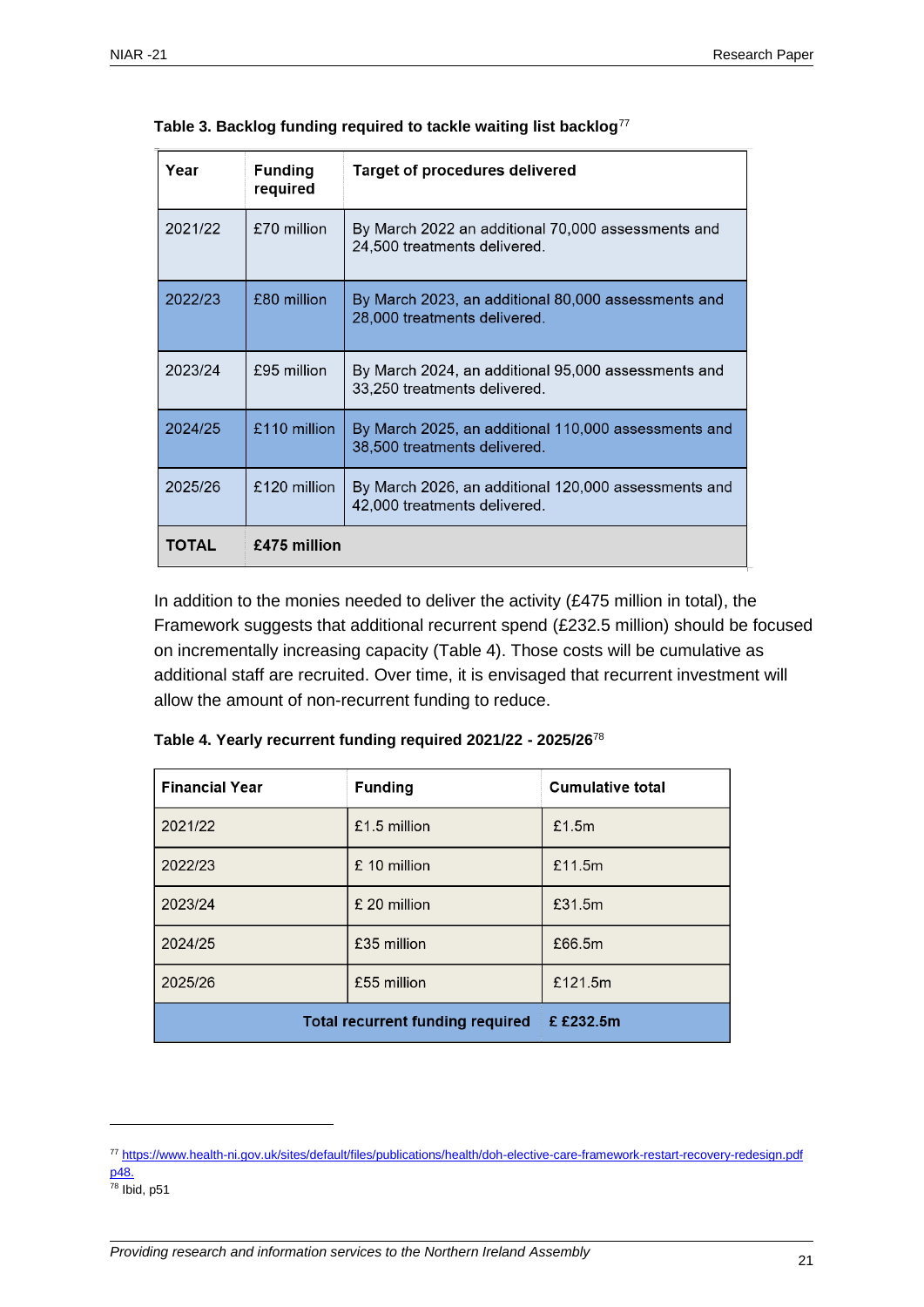| Year         | <b>Funding</b><br>required | Target of procedures delivered                                                       |
|--------------|----------------------------|--------------------------------------------------------------------------------------|
| 2021/22      | £70 million                | By March 2022 an additional 70,000 assessments and<br>24,500 treatments delivered.   |
| 2022/23      | £80 million                | By March 2023, an additional 80,000 assessments and<br>28,000 treatments delivered.  |
| 2023/24      | £95 million                | By March 2024, an additional 95,000 assessments and<br>33,250 treatments delivered.  |
| 2024/25      | £110 million               | By March 2025, an additional 110,000 assessments and<br>38,500 treatments delivered. |
| 2025/26      | £120 million               | By March 2026, an additional 120,000 assessments and<br>42,000 treatments delivered. |
| <b>TOTAL</b> | £475 million               |                                                                                      |

|  |  |  | Table 3. Backlog funding required to tackle waiting list backlog $^{77}$ |
|--|--|--|--------------------------------------------------------------------------|
|  |  |  |                                                                          |

In addition to the monies needed to deliver the activity (£475 million in total), the Framework suggests that additional recurrent spend (£232.5 million) should be focused on incrementally increasing capacity (Table 4). Those costs will be cumulative as additional staff are recruited. Over time, it is envisaged that recurrent investment will allow the amount of non-recurrent funding to reduce.

| <b>Financial Year</b>                   | <b>Funding</b> | <b>Cumulative total</b> |
|-----------------------------------------|----------------|-------------------------|
| 2021/22                                 | £1.5 million   | £1.5m                   |
| 2022/23                                 | £ 10 million   | £11.5m                  |
| 2023/24                                 | £ 20 million   | £31.5m                  |
| 2024/25                                 | £35 million    | £66.5m                  |
| 2025/26                                 | £55 million    | £121.5m                 |
| <b>Total recurrent funding required</b> | £ £232.5m      |                         |

**Table 4. Yearly recurrent funding required 2021/22 - 2025/26**<sup>78</sup>

<sup>77</sup> <https://www.health-ni.gov.uk/sites/default/files/publications/health/doh-elective-care-framework-restart-recovery-redesign.pdf> p48.

 $78$  Ibid, p51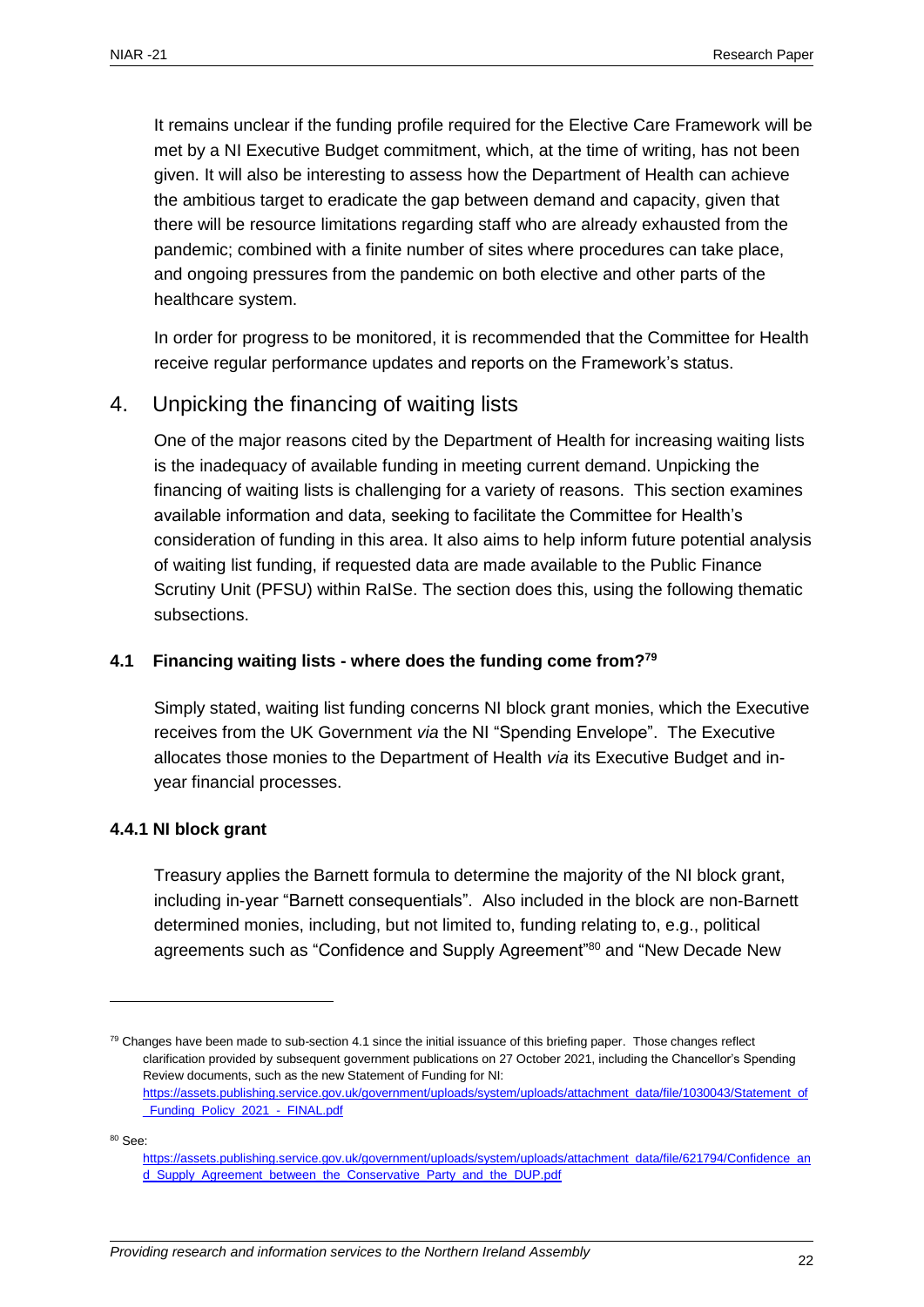It remains unclear if the funding profile required for the Elective Care Framework will be met by a NI Executive Budget commitment, which, at the time of writing, has not been given. It will also be interesting to assess how the Department of Health can achieve the ambitious target to eradicate the gap between demand and capacity, given that there will be resource limitations regarding staff who are already exhausted from the pandemic; combined with a finite number of sites where procedures can take place, and ongoing pressures from the pandemic on both elective and other parts of the healthcare system.

In order for progress to be monitored, it is recommended that the Committee for Health receive regular performance updates and reports on the Framework's status.

## <span id="page-21-0"></span>4. Unpicking the financing of waiting lists

One of the major reasons cited by the Department of Health for increasing waiting lists is the inadequacy of available funding in meeting current demand. Unpicking the financing of waiting lists is challenging for a variety of reasons. This section examines available information and data, seeking to facilitate the Committee for Health's consideration of funding in this area. It also aims to help inform future potential analysis of waiting list funding, if requested data are made available to the Public Finance Scrutiny Unit (PFSU) within RaISe. The section does this, using the following thematic subsections.

#### <span id="page-21-1"></span>**4.1 Financing waiting lists - where does the funding come from?<sup>79</sup>**

Simply stated, waiting list funding concerns NI block grant monies, which the Executive receives from the UK Government *via* the NI "Spending Envelope". The Executive allocates those monies to the Department of Health *via* its Executive Budget and inyear financial processes.

#### **4.4.1 NI block grant**

Treasury applies the Barnett formula to determine the majority of the NI block grant, including in-year "Barnett consequentials". Also included in the block are non-Barnett determined monies, including, but not limited to, funding relating to, e.g., political agreements such as "Confidence and Supply Agreement"<sup>80</sup> and "New Decade New

 $80$  See:

 $79$  Changes have been made to sub-section 4.1 since the initial issuance of this briefing paper. Those changes reflect clarification provided by subsequent government publications on 27 October 2021, including the Chancellor's Spending Review documents, such as the new Statement of Funding for NI: [https://assets.publishing.service.gov.uk/government/uploads/system/uploads/attachment\\_data/file/1030043/Statement\\_of](https://assets.publishing.service.gov.uk/government/uploads/system/uploads/attachment_data/file/1030043/Statement_of_Funding_Policy_2021_-_FINAL.pdf) [\\_Funding\\_Policy\\_2021\\_-\\_FINAL.pdf](https://assets.publishing.service.gov.uk/government/uploads/system/uploads/attachment_data/file/1030043/Statement_of_Funding_Policy_2021_-_FINAL.pdf)

[https://assets.publishing.service.gov.uk/government/uploads/system/uploads/attachment\\_data/file/621794/Confidence\\_an](https://assets.publishing.service.gov.uk/government/uploads/system/uploads/attachment_data/file/621794/Confidence_and_Supply_Agreement_between_the_Conservative_Party_and_the_DUP.pdf) [d\\_Supply\\_Agreement\\_between\\_the\\_Conservative\\_Party\\_and\\_the\\_DUP.pdf](https://assets.publishing.service.gov.uk/government/uploads/system/uploads/attachment_data/file/621794/Confidence_and_Supply_Agreement_between_the_Conservative_Party_and_the_DUP.pdf)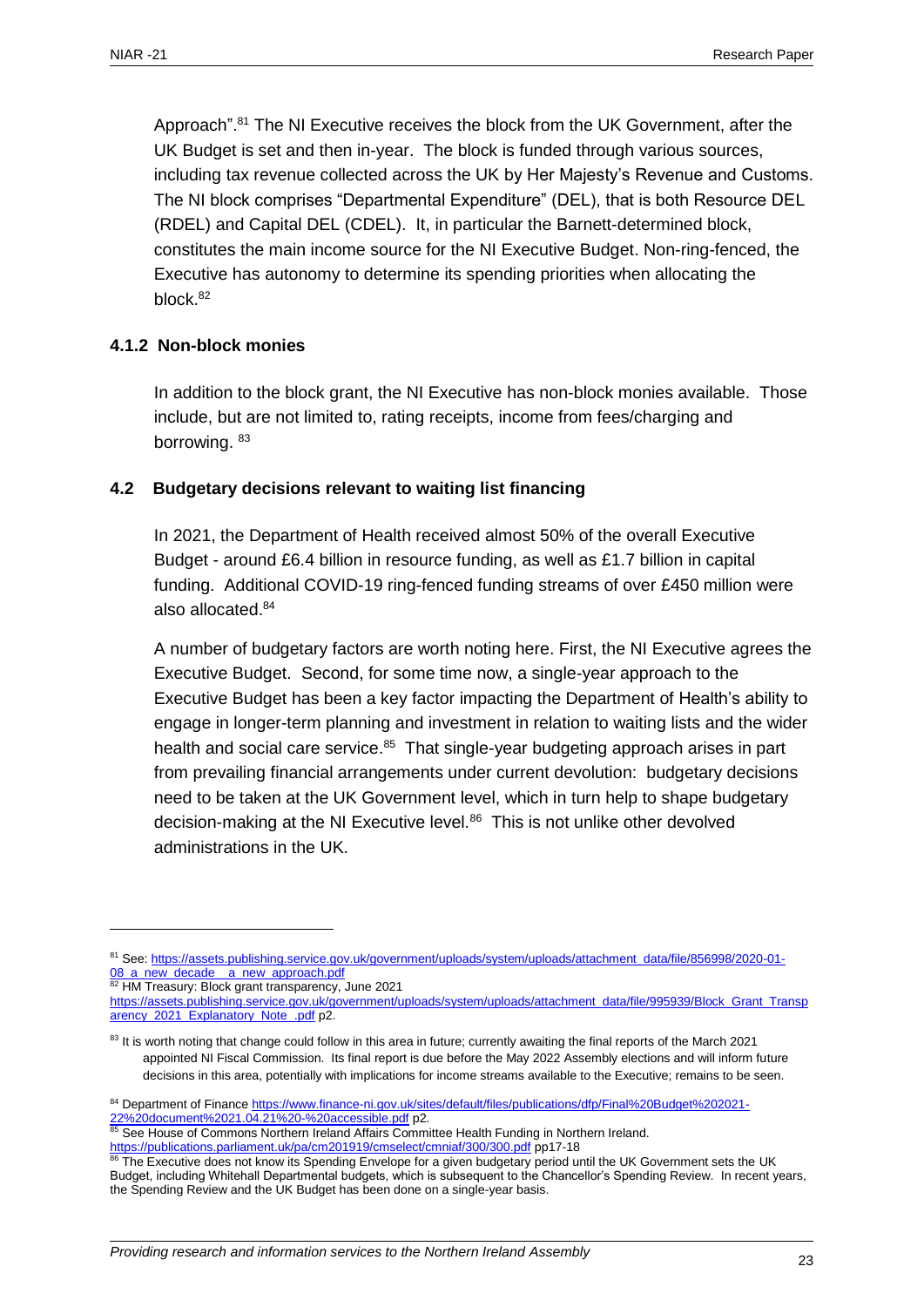Approach".<sup>81</sup> The NI Executive receives the block from the UK Government, after the UK Budget is set and then in-year. The block is funded through various sources, including tax revenue collected across the UK by Her Majesty's Revenue and Customs. The NI block comprises "Departmental Expenditure" (DEL), that is both Resource DEL (RDEL) and Capital DEL (CDEL). It, in particular the Barnett-determined block, constitutes the main income source for the NI Executive Budget. Non-ring-fenced, the Executive has autonomy to determine its spending priorities when allocating the block. 82

#### **4.1.2 Non-block monies**

In addition to the block grant, the NI Executive has non-block monies available. Those include, but are not limited to, rating receipts, income from fees/charging and borrowing. 83

#### <span id="page-22-0"></span>**4.2 Budgetary decisions relevant to waiting list financing**

In 2021, the Department of Health received almost 50% of the overall Executive Budget - around £6.4 billion in resource funding, as well as £1.7 billion in capital funding. Additional COVID-19 ring-fenced funding streams of over £450 million were also allocated.<sup>84</sup>

A number of budgetary factors are worth noting here. First, the NI Executive agrees the Executive Budget. Second, for some time now, a single-year approach to the Executive Budget has been a key factor impacting the Department of Health's ability to engage in longer-term planning and investment in relation to waiting lists and the wider health and social care service.<sup>85</sup> That single-year budgeting approach arises in part from prevailing financial arrangements under current devolution: budgetary decisions need to be taken at the UK Government level, which in turn help to shape budgetary decision-making at the NI Executive level.<sup>86</sup> This is not unlike other devolved administrations in the UK.

82 HM Treasury: Block grant transparency, June 2021

<sup>81</sup> See[: https://assets.publishing.service.gov.uk/government/uploads/system/uploads/attachment\\_data/file/856998/2020-01-](https://assets.publishing.service.gov.uk/government/uploads/system/uploads/attachment_data/file/856998/2020-01-08_a_new_decade__a_new_approach.pdf) [08\\_a\\_new\\_decade\\_\\_a\\_new\\_approach.pdf](https://assets.publishing.service.gov.uk/government/uploads/system/uploads/attachment_data/file/856998/2020-01-08_a_new_decade__a_new_approach.pdf)

[https://assets.publishing.service.gov.uk/government/uploads/system/uploads/attachment\\_data/file/995939/Block\\_Grant\\_Transp](https://assets.publishing.service.gov.uk/government/uploads/system/uploads/attachment_data/file/995939/Block_Grant_Transparency_2021_Explanatory_Note_.pdf) arency 2021 Explanatory Note .pdf p2.

<sup>&</sup>lt;sup>83</sup> It is worth noting that change could follow in this area in future; currently awaiting the final reports of the March 2021 appointed NI Fiscal Commission. Its final report is due before the May 2022 Assembly elections and will inform future decisions in this area, potentially with implications for income streams available to the Executive; remains to be seen.

<sup>84</sup> Department of Financ[e https://www.finance-ni.gov.uk/sites/default/files/publications/dfp/Final%20Budget%202021-](https://www.finance-ni.gov.uk/sites/default/files/publications/dfp/Final%20Budget%202021-22%20document%2021.04.21%20-%20accessible.pdf) [22%20document%2021.04.21%20-%20accessible.pdf](https://www.finance-ni.gov.uk/sites/default/files/publications/dfp/Final%20Budget%202021-22%20document%2021.04.21%20-%20accessible.pdf) p2.

<sup>85</sup> See House of Commons Northern Ireland Affairs Committee Health Funding in Northern Ireland. <https://publications.parliament.uk/pa/cm201919/cmselect/cmniaf/300/300.pdf> pp17-18

The Executive does not know its Spending Envelope for a given budgetary period until the UK Government sets the UK Budget, including Whitehall Departmental budgets, which is subsequent to the Chancellor's Spending Review. In recent years, the Spending Review and the UK Budget has been done on a single-year basis.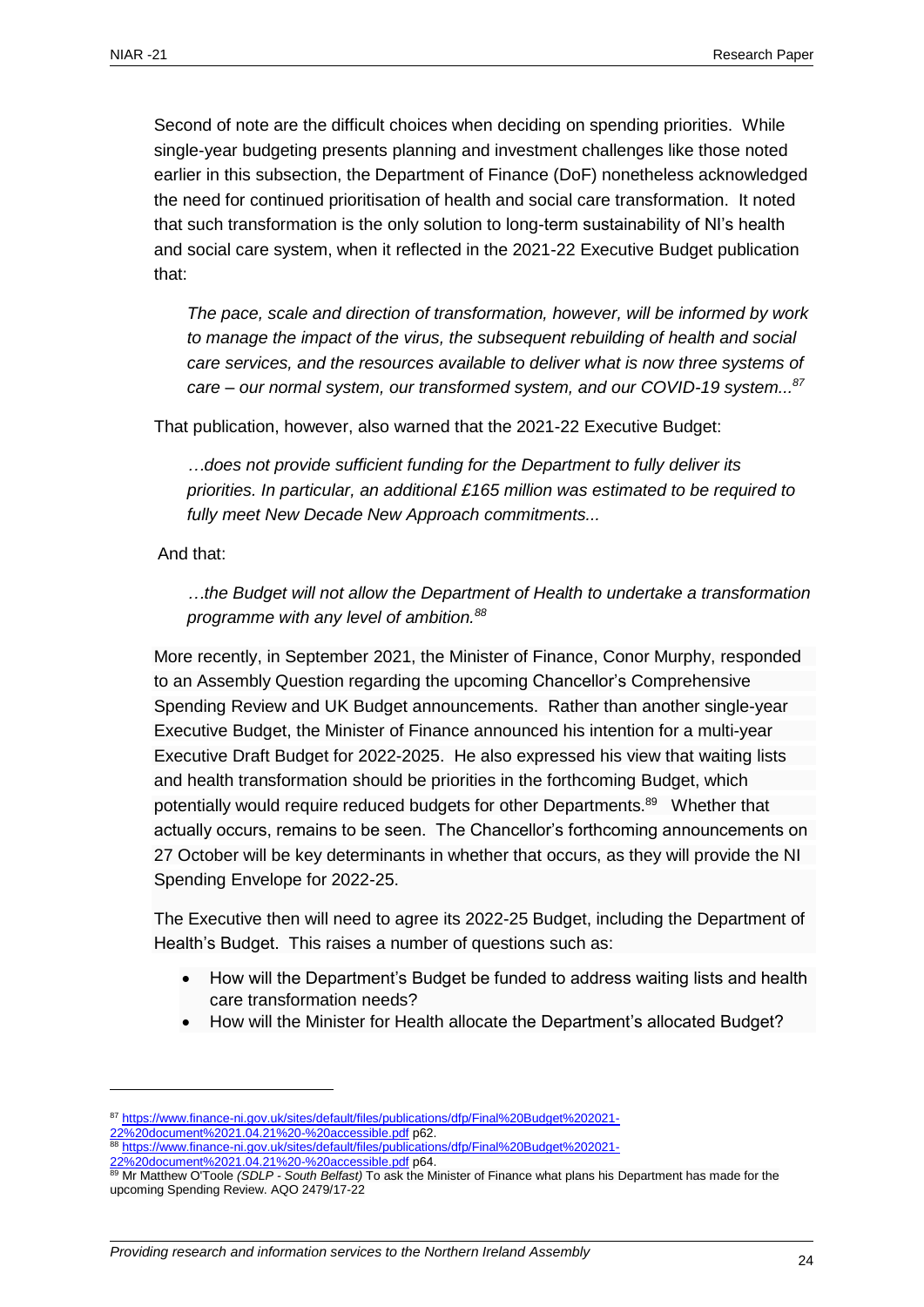Second of note are the difficult choices when deciding on spending priorities. While single-year budgeting presents planning and investment challenges like those noted earlier in this subsection, the Department of Finance (DoF) nonetheless acknowledged the need for continued prioritisation of health and social care transformation. It noted that such transformation is the only solution to long-term sustainability of NI's health and social care system, when it reflected in the 2021-22 Executive Budget publication that:

*The pace, scale and direction of transformation, however, will be informed by work to manage the impact of the virus, the subsequent rebuilding of health and social care services, and the resources available to deliver what is now three systems of care – our normal system, our transformed system, and our COVID-19 system... 87*

That publication, however, also warned that the 2021-22 Executive Budget:

*…does not provide sufficient funding for the Department to fully deliver its priorities. In particular, an additional £165 million was estimated to be required to fully meet New Decade New Approach commitments...* 

And that:

 $\overline{a}$ 

*…the Budget will not allow the Department of Health to undertake a transformation programme with any level of ambition.<sup>88</sup>*

More recently, in September 2021, the Minister of Finance, Conor Murphy, responded to an Assembly Question regarding the upcoming Chancellor's Comprehensive Spending Review and UK Budget announcements. Rather than another single-year Executive Budget, the Minister of Finance announced his intention for a multi-year Executive Draft Budget for 2022-2025. He also expressed his view that waiting lists and health transformation should be priorities in the forthcoming Budget, which potentially would require reduced budgets for other Departments.<sup>89</sup> Whether that actually occurs, remains to be seen. The Chancellor's forthcoming announcements on 27 October will be key determinants in whether that occurs, as they will provide the NI Spending Envelope for 2022-25.

The Executive then will need to agree its 2022-25 Budget, including the Department of Health's Budget. This raises a number of questions such as:

- How will the Department's Budget be funded to address waiting lists and health care transformation needs?
- How will the Minister for Health allocate the Department's allocated Budget?

8 [https://www.finance-ni.gov.uk/sites/default/files/publications/dfp/Final%20Budget%202021-](https://www.finance-ni.gov.uk/sites/default/files/publications/dfp/Final%20Budget%202021-22%20document%2021.04.21%20-%20accessible.pdf) [22%20document%2021.04.21%20-%20accessible.pdf](https://www.finance-ni.gov.uk/sites/default/files/publications/dfp/Final%20Budget%202021-22%20document%2021.04.21%20-%20accessible.pdf) p64.

<sup>87</sup> [https://www.finance-ni.gov.uk/sites/default/files/publications/dfp/Final%20Budget%202021-](https://www.finance-ni.gov.uk/sites/default/files/publications/dfp/Final%20Budget%202021-22%20document%2021.04.21%20-%20accessible.pdf) [22%20document%2021.04.21%20-%20accessible.pdf](https://www.finance-ni.gov.uk/sites/default/files/publications/dfp/Final%20Budget%202021-22%20document%2021.04.21%20-%20accessible.pdf) p62.

<sup>89</sup> Mr Matthew O'Toole *(SDLP - South Belfast)* To ask the Minister of Finance what plans his Department has made for the upcoming Spending Review. AQO [2479/17-22](javascript:__doPostBack()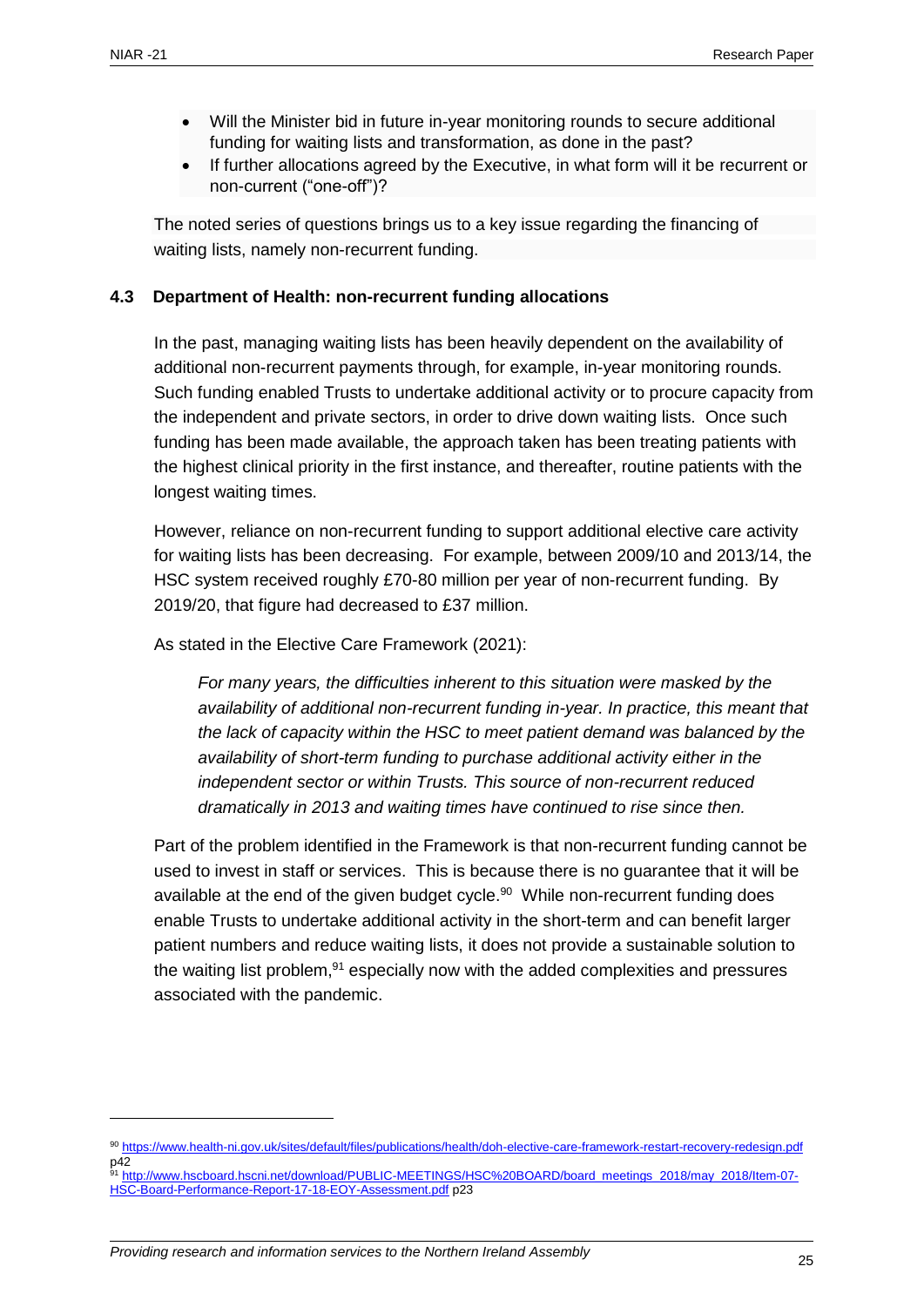- Will the Minister bid in future in-year monitoring rounds to secure additional funding for waiting lists and transformation, as done in the past?
- If further allocations agreed by the Executive, in what form will it be recurrent or non-current ("one-off")?

The noted series of questions brings us to a key issue regarding the financing of waiting lists, namely non-recurrent funding.

#### <span id="page-24-0"></span>**4.3 Department of Health: non-recurrent funding allocations**

In the past, managing waiting lists has been heavily dependent on the availability of additional non-recurrent payments through, for example, in-year monitoring rounds. Such funding enabled Trusts to undertake additional activity or to procure capacity from the independent and private sectors, in order to drive down waiting lists. Once such funding has been made available, the approach taken has been treating patients with the highest clinical priority in the first instance, and thereafter, routine patients with the longest waiting times.

However, reliance on non-recurrent funding to support additional elective care activity for waiting lists has been decreasing. For example, between 2009/10 and 2013/14, the HSC system received roughly £70-80 million per year of non-recurrent funding. By 2019/20, that figure had decreased to £37 million.

As stated in the Elective Care Framework (2021):

*For many years, the difficulties inherent to this situation were masked by the availability of additional non-recurrent funding in-year. In practice, this meant that the lack of capacity within the HSC to meet patient demand was balanced by the availability of short-term funding to purchase additional activity either in the independent sector or within Trusts. This source of non-recurrent reduced dramatically in 2013 and waiting times have continued to rise since then.*

Part of the problem identified in the Framework is that non-recurrent funding cannot be used to invest in staff or services. This is because there is no guarantee that it will be available at the end of the given budget cycle.<sup>90</sup> While non-recurrent funding does enable Trusts to undertake additional activity in the short-term and can benefit larger patient numbers and reduce waiting lists, it does not provide a sustainable solution to the waiting list problem, $91$  especially now with the added complexities and pressures associated with the pandemic.

<sup>90</sup> <https://www.health-ni.gov.uk/sites/default/files/publications/health/doh-elective-care-framework-restart-recovery-redesign.pdf>  $p_{42}^{42}$ <sup>91</sup> [http://www.hscboard.hscni.net/download/PUBLIC-MEETINGS/HSC%20BOARD/board\\_meetings\\_2018/may\\_2018/Item-07-](http://www.hscboard.hscni.net/download/PUBLIC-MEETINGS/HSC%20BOARD/board_meetings_2018/may_2018/Item-07-HSC-Board-Performance-Report-17-18-EOY-Assessment.pdf)

[HSC-Board-Performance-Report-17-18-EOY-Assessment.pdf](http://www.hscboard.hscni.net/download/PUBLIC-MEETINGS/HSC%20BOARD/board_meetings_2018/may_2018/Item-07-HSC-Board-Performance-Report-17-18-EOY-Assessment.pdf) p23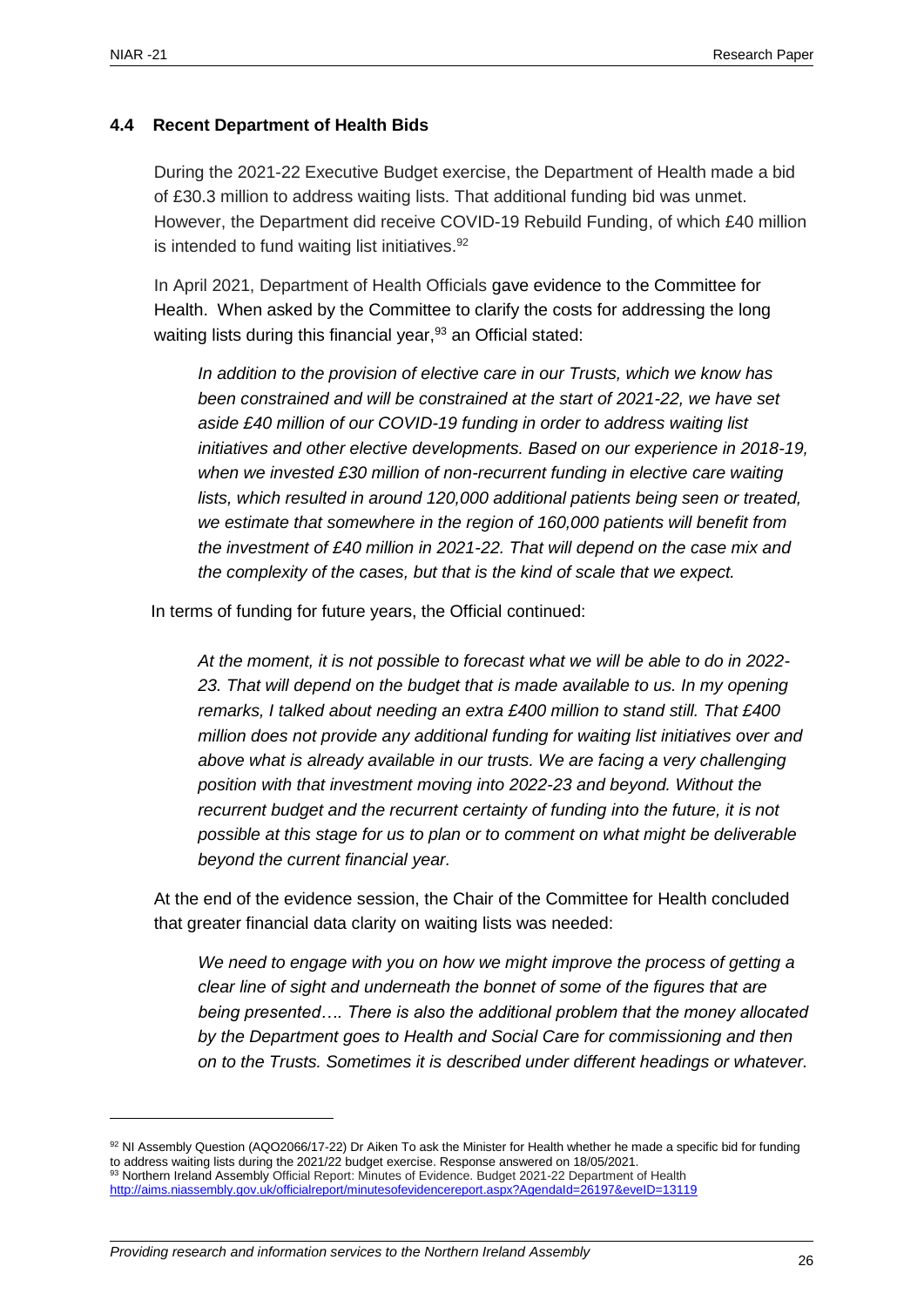#### <span id="page-25-0"></span>**4.4 Recent Department of Health Bids**

During the 2021-22 Executive Budget exercise, the Department of Health made a bid of £30.3 million to address waiting lists. That additional funding bid was unmet. However, the Department did receive COVID-19 Rebuild Funding, of which £40 million is intended to fund waiting list initiatives. $92$ 

In April 2021, Department of Health Officials gave evidence to the Committee for Health. When asked by the Committee to clarify the costs for addressing the long waiting lists during this financial year,  $93$  an Official stated:

*In addition to the provision of elective care in our Trusts, which we know has been constrained and will be constrained at the start of 2021-22, we have set aside £40 million of our COVID-19 funding in order to address waiting list initiatives and other elective developments. Based on our experience in 2018-19, when we invested £30 million of non-recurrent funding in elective care waiting lists, which resulted in around 120,000 additional patients being seen or treated, we estimate that somewhere in the region of 160,000 patients will benefit from the investment of £40 million in 2021-22. That will depend on the case mix and the complexity of the cases, but that is the kind of scale that we expect.*

In terms of funding for future years, the Official continued:

*At the moment, it is not possible to forecast what we will be able to do in 2022-* 23. That will depend on the budget that is made available to us. In my opening *remarks, I talked about needing an extra £400 million to stand still. That £400 million does not provide any additional funding for waiting list initiatives over and above what is already available in our trusts. We are facing a very challenging position with that investment moving into 2022-23 and beyond. Without the recurrent budget and the recurrent certainty of funding into the future, it is not possible at this stage for us to plan or to comment on what might be deliverable beyond the current financial year.*

At the end of the evidence session, the Chair of the Committee for Health concluded that greater financial data clarity on waiting lists was needed:

*We need to engage with you on how we might improve the process of getting a clear line of sight and underneath the bonnet of some of the figures that are being presented…. There is also the additional problem that the money allocated by the Department goes to Health and Social Care for commissioning and then on to the Trusts. Sometimes it is described under different headings or whatever.* 

<sup>92</sup> NI Assembly Question (AQO2066/17-22) Dr Aiken To ask the Minister for Health whether he made a specific bid for funding to address waiting lists during the 2021/22 budget exercise. Response answered on 18/05/2021. 93 Northern Ireland Assembly Official Report: Minutes of Evidence. Budget 2021-22 Department of Health <http://aims.niassembly.gov.uk/officialreport/minutesofevidencereport.aspx?AgendaId=26197&eveID=13119>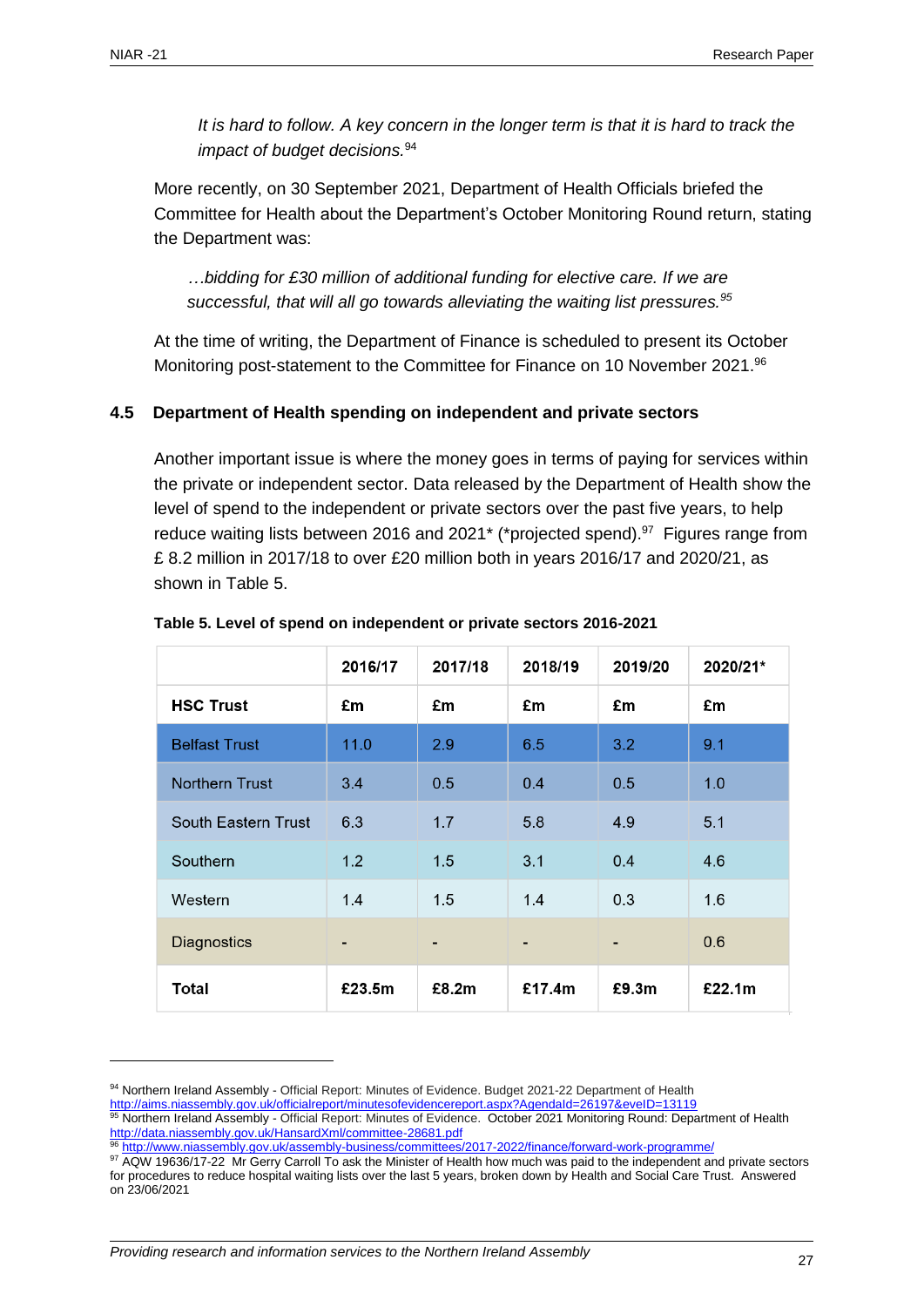*It is hard to follow. A key concern in the longer term is that it is hard to track the impact of budget decisions.*<sup>94</sup>

More recently, on 30 September 2021, Department of Health Officials briefed the Committee for Health about the Department's October Monitoring Round return, stating the Department was:

*…bidding for £30 million of additional funding for elective care. If we are successful, that will all go towards alleviating the waiting list pressures.<sup>95</sup>*

At the time of writing, the Department of Finance is scheduled to present its October Monitoring post-statement to the Committee for Finance on 10 November 2021.<sup>96</sup>

#### <span id="page-26-0"></span>**4.5 Department of Health spending on independent and private sectors**

Another important issue is where the money goes in terms of paying for services within the private or independent sector. Data released by the Department of Health show the level of spend to the independent or private sectors over the past five years, to help reduce waiting lists between 2016 and 2021<sup>\*</sup> (\*projected spend).<sup>97</sup> Figures range from £ 8.2 million in 2017/18 to over £20 million both in years 2016/17 and 2020/21, as shown in Table 5.

|                            | 2016/17        | 2017/18 | 2018/19 | 2019/20 | 2020/21* |
|----------------------------|----------------|---------|---------|---------|----------|
| <b>HSC Trust</b>           | £m             | £m      | £m      | £m      | £m       |
| <b>Belfast Trust</b>       | 11.0           | 2.9     | 6.5     | 3.2     | 9.1      |
| <b>Northern Trust</b>      | 3.4            | 0.5     | 0.4     | 0.5     | 1.0      |
| <b>South Eastern Trust</b> | 6.3            | 1.7     | 5.8     | 4.9     | 5.1      |
| Southern                   | 1.2            | 1.5     | 3.1     | 0.4     | 4.6      |
| Western                    | 1.4            | 1.5     | 1.4     | 0.3     | 1.6      |
| <b>Diagnostics</b>         | $\blacksquare$ | -       | -       | ٠       | 0.6      |
| <b>Total</b>               | £23.5m         | £8.2m   | £17.4m  | £9.3m   | £22.1m   |

#### **Table 5. Level of spend on independent or private sectors 2016-2021**

<http://aims.niassembly.gov.uk/officialreport/minutesofevidencereport.aspx?AgendaId=26197&eveID=13119>

<sup>94</sup> Northern Ireland Assembly - Official Report: Minutes of Evidence. Budget 2021-22 Department of Health

<sup>&</sup>lt;sup>95</sup> Northern Ireland Assembly - Official Report: Minutes of Evidence. October 2021 Monitoring Round: Department of Health <http://data.niassembly.gov.uk/HansardXml/committee-28681.pdf>

<sup>96</sup> <http://www.niassembly.gov.uk/assembly-business/committees/2017-2022/finance/forward-work-programme/>

<sup>97</sup> AQW 19636/17-22 Mr Gerry Carroll To ask the Minister of Health how much was paid to the independent and private sectors for procedures to reduce hospital waiting lists over the last 5 years, broken down by Health and Social Care Trust. Answered on 23/06/2021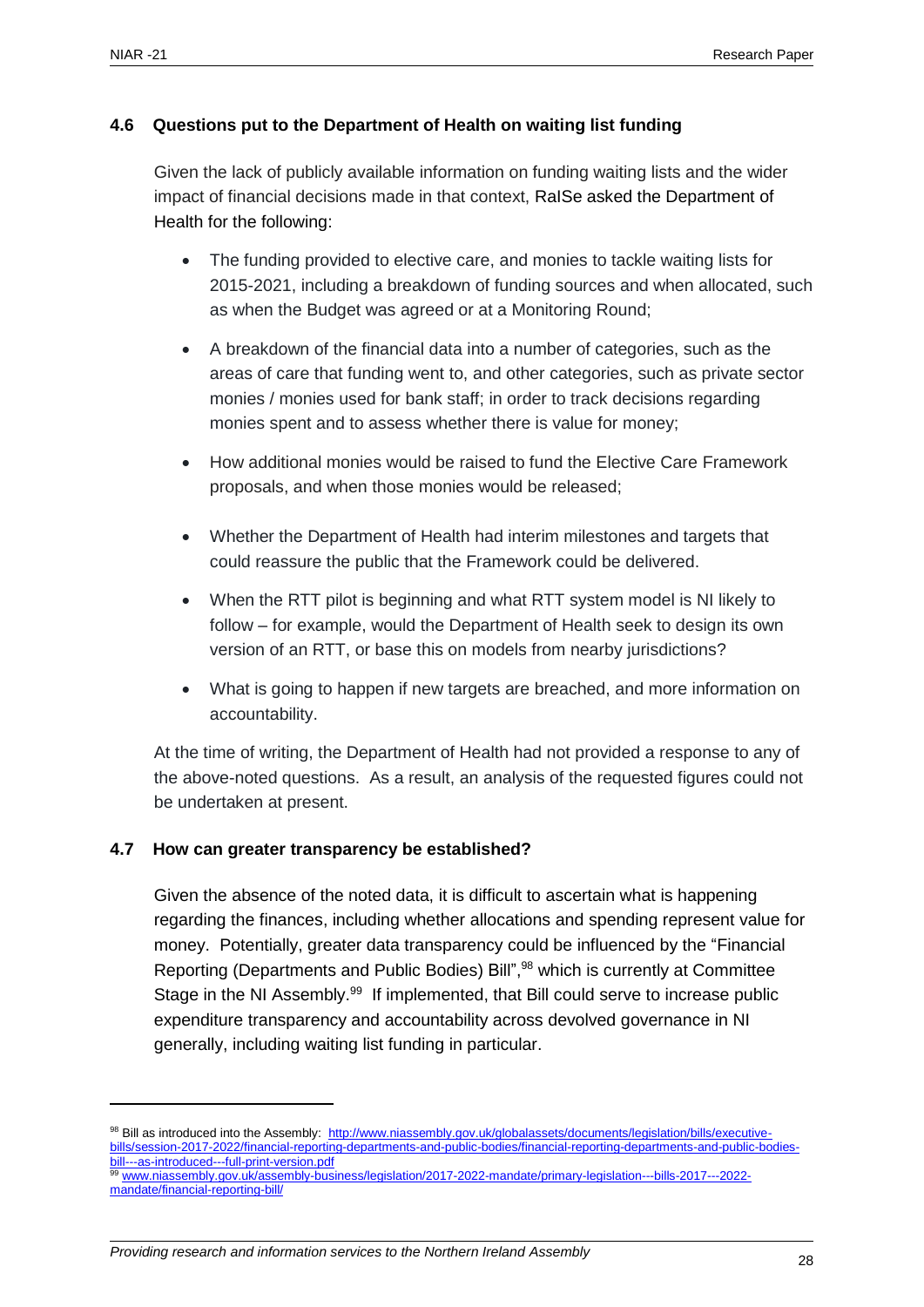#### <span id="page-27-0"></span>**4.6 Questions put to the Department of Health on waiting list funding**

Given the lack of publicly available information on funding waiting lists and the wider impact of financial decisions made in that context, RaISe asked the Department of Health for the following:

- The funding provided to elective care, and monies to tackle waiting lists for 2015-2021, including a breakdown of funding sources and when allocated, such as when the Budget was agreed or at a Monitoring Round;
- A breakdown of the financial data into a number of categories, such as the areas of care that funding went to, and other categories, such as private sector monies / monies used for bank staff; in order to track decisions regarding monies spent and to assess whether there is value for money;
- How additional monies would be raised to fund the Elective Care Framework proposals, and when those monies would be released;
- Whether the Department of Health had interim milestones and targets that could reassure the public that the Framework could be delivered.
- When the RTT pilot is beginning and what RTT system model is NI likely to follow – for example, would the Department of Health seek to design its own version of an RTT, or base this on models from nearby jurisdictions?
- What is going to happen if new targets are breached, and more information on accountability.

At the time of writing, the Department of Health had not provided a response to any of the above-noted questions. As a result, an analysis of the requested figures could not be undertaken at present.

#### <span id="page-27-1"></span>**4.7 How can greater transparency be established?**

Given the absence of the noted data, it is difficult to ascertain what is happening regarding the finances, including whether allocations and spending represent value for money. Potentially, greater data transparency could be influenced by the "Financial Reporting (Departments and Public Bodies) Bill", <sup>98</sup> which is currently at Committee Stage in the NI Assembly.<sup>99</sup> If implemented, that Bill could serve to increase public expenditure transparency and accountability across devolved governance in NI generally, including waiting list funding in particular.

<sup>99</sup> [www.niassembly.gov.uk/assembly-business/legislation/2017-2022-mandate/primary-legislation---bills-2017---2022](http://www.niassembly.gov.uk/assembly-business/legislation/2017-2022-mandate/primary-legislation---bills-2017---2022-mandate/financial-reporting-bill/) [mandate/financial-reporting-bill/](http://www.niassembly.gov.uk/assembly-business/legislation/2017-2022-mandate/primary-legislation---bills-2017---2022-mandate/financial-reporting-bill/)

<sup>98</sup> Bill as introduced into the Assembly: [http://www.niassembly.gov.uk/globalassets/documents/legislation/bills/executive](http://www.niassembly.gov.uk/globalassets/documents/legislation/bills/executive-bills/session-2017-2022/financial-reporting-departments-and-public-bodies/financial-reporting-departments-and-public-bodies-bill---as-introduced---full-print-version.pdf)[bills/session-2017-2022/financial-reporting-departments-and-public-bodies/financial-reporting-departments-and-public-bodies](http://www.niassembly.gov.uk/globalassets/documents/legislation/bills/executive-bills/session-2017-2022/financial-reporting-departments-and-public-bodies/financial-reporting-departments-and-public-bodies-bill---as-introduced---full-print-version.pdf)[bill---as-introduced---full-print-version.pdf](http://www.niassembly.gov.uk/globalassets/documents/legislation/bills/executive-bills/session-2017-2022/financial-reporting-departments-and-public-bodies/financial-reporting-departments-and-public-bodies-bill---as-introduced---full-print-version.pdf)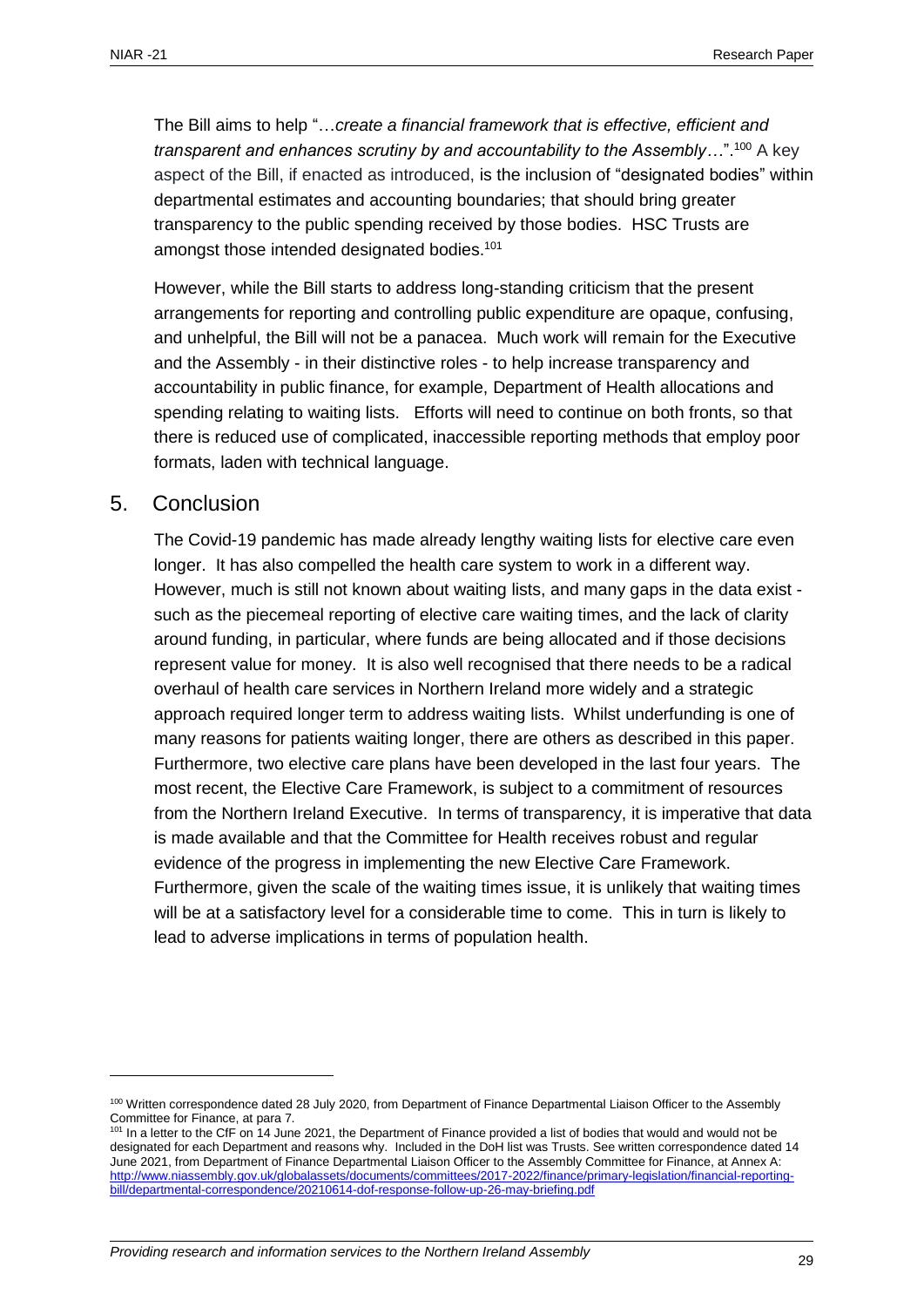The Bill aims to help "…*create a financial framework that is effective, efficient and transparent and enhances scrutiny by and accountability to the Assembly…*".<sup>100</sup> A key aspect of the Bill, if enacted as introduced, is the inclusion of "designated bodies" within departmental estimates and accounting boundaries; that should bring greater transparency to the public spending received by those bodies. HSC Trusts are amongst those intended designated bodies.<sup>101</sup>

However, while the Bill starts to address long-standing criticism that the present arrangements for reporting and controlling public expenditure are opaque, confusing, and unhelpful, the Bill will not be a panacea. Much work will remain for the Executive and the Assembly - in their distinctive roles - to help increase transparency and accountability in public finance, for example, Department of Health allocations and spending relating to waiting lists. Efforts will need to continue on both fronts, so that there is reduced use of complicated, inaccessible reporting methods that employ poor formats, laden with technical language.

## <span id="page-28-0"></span>5. Conclusion

The Covid-19 pandemic has made already lengthy waiting lists for elective care even longer. It has also compelled the health care system to work in a different way. However, much is still not known about waiting lists, and many gaps in the data exist such as the piecemeal reporting of elective care waiting times, and the lack of clarity around funding, in particular, where funds are being allocated and if those decisions represent value for money. It is also well recognised that there needs to be a radical overhaul of health care services in Northern Ireland more widely and a strategic approach required longer term to address waiting lists. Whilst underfunding is one of many reasons for patients waiting longer, there are others as described in this paper. Furthermore, two elective care plans have been developed in the last four years. The most recent, the Elective Care Framework, is subject to a commitment of resources from the Northern Ireland Executive. In terms of transparency, it is imperative that data is made available and that the Committee for Health receives robust and regular evidence of the progress in implementing the new Elective Care Framework. Furthermore, given the scale of the waiting times issue, it is unlikely that waiting times will be at a satisfactory level for a considerable time to come. This in turn is likely to lead to adverse implications in terms of population health.

<sup>&</sup>lt;sup>100</sup> Written correspondence dated 28 July 2020, from Department of Finance Departmental Liaison Officer to the Assembly Committee for Finance, at para 7.

<sup>&</sup>lt;sup>101</sup> In a letter to the CfF on 14 June 2021, the Department of Finance provided a list of bodies that would and would not be designated for each Department and reasons why. Included in the DoH list was Trusts. See written correspondence dated 14 June 2021, from Department of Finance Departmental Liaison Officer to the Assembly Committee for Finance, at Annex A: [http://www.niassembly.gov.uk/globalassets/documents/committees/2017-2022/finance/primary-legislation/financial-reporting](http://www.niassembly.gov.uk/globalassets/documents/committees/2017-2022/finance/primary-legislation/financial-reporting-bill/departmental-correspondence/20210614-dof-response-follow-up-26-may-briefing.pdf)[bill/departmental-correspondence/20210614-dof-response-follow-up-26-may-briefing.pdf](http://www.niassembly.gov.uk/globalassets/documents/committees/2017-2022/finance/primary-legislation/financial-reporting-bill/departmental-correspondence/20210614-dof-response-follow-up-26-may-briefing.pdf)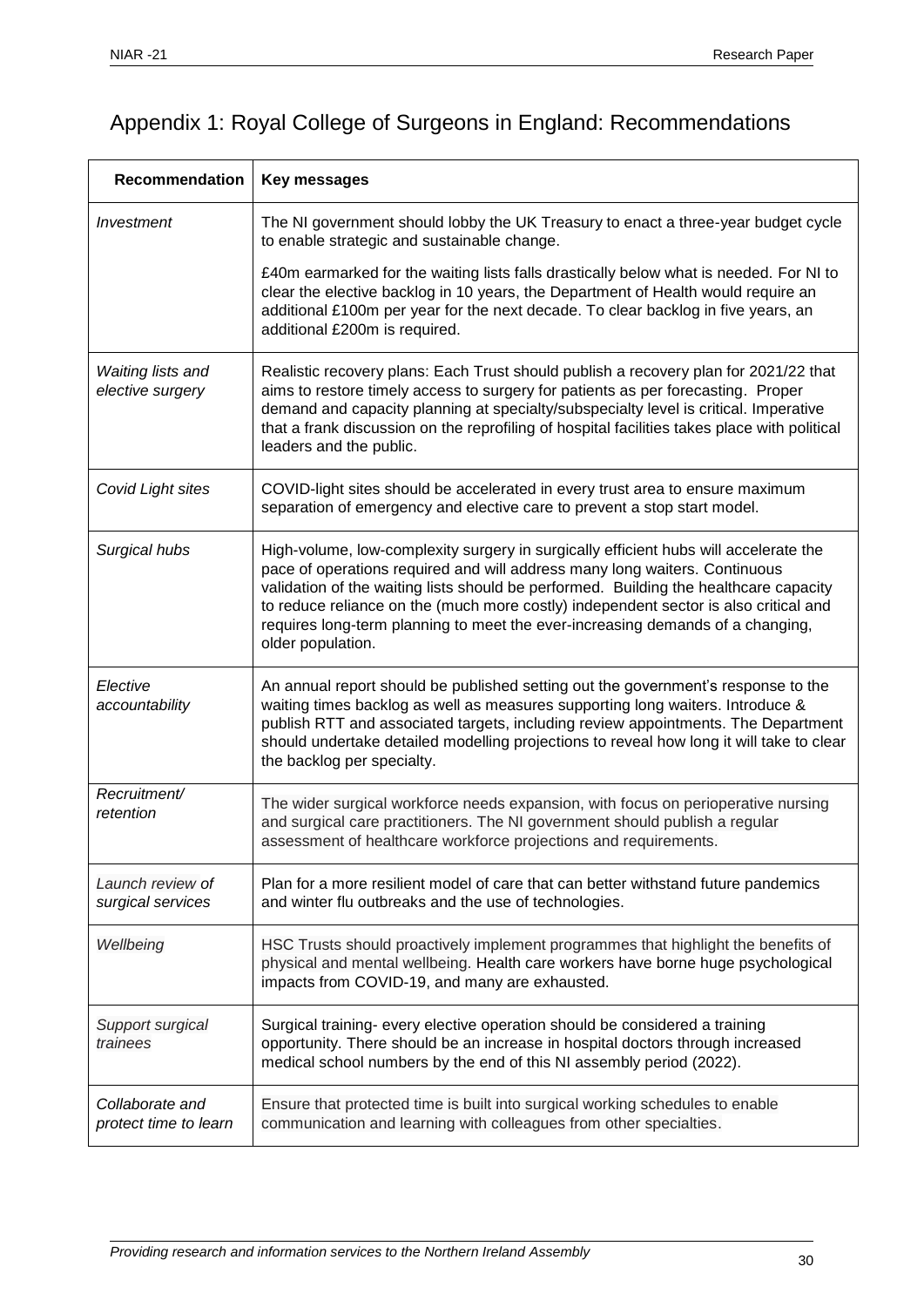# <span id="page-29-0"></span>Appendix 1: Royal College of Surgeons in England: Recommendations

| <b>Recommendation</b>                        | Key messages                                                                                                                                                                                                                                                                                                                                                                                                                                               |
|----------------------------------------------|------------------------------------------------------------------------------------------------------------------------------------------------------------------------------------------------------------------------------------------------------------------------------------------------------------------------------------------------------------------------------------------------------------------------------------------------------------|
| Investment                                   | The NI government should lobby the UK Treasury to enact a three-year budget cycle<br>to enable strategic and sustainable change.                                                                                                                                                                                                                                                                                                                           |
|                                              | £40m earmarked for the waiting lists falls drastically below what is needed. For NI to<br>clear the elective backlog in 10 years, the Department of Health would require an<br>additional £100m per year for the next decade. To clear backlog in five years, an<br>additional £200m is required.                                                                                                                                                          |
| <b>Waiting lists and</b><br>elective surgery | Realistic recovery plans: Each Trust should publish a recovery plan for 2021/22 that<br>aims to restore timely access to surgery for patients as per forecasting. Proper<br>demand and capacity planning at specialty/subspecialty level is critical. Imperative<br>that a frank discussion on the reprofiling of hospital facilities takes place with political<br>leaders and the public.                                                                |
| Covid Light sites                            | COVID-light sites should be accelerated in every trust area to ensure maximum<br>separation of emergency and elective care to prevent a stop start model.                                                                                                                                                                                                                                                                                                  |
| Surgical hubs                                | High-volume, low-complexity surgery in surgically efficient hubs will accelerate the<br>pace of operations required and will address many long waiters. Continuous<br>validation of the waiting lists should be performed. Building the healthcare capacity<br>to reduce reliance on the (much more costly) independent sector is also critical and<br>requires long-term planning to meet the ever-increasing demands of a changing,<br>older population. |
| Elective<br>accountability                   | An annual report should be published setting out the government's response to the<br>waiting times backlog as well as measures supporting long waiters. Introduce &<br>publish RTT and associated targets, including review appointments. The Department<br>should undertake detailed modelling projections to reveal how long it will take to clear<br>the backlog per specialty.                                                                         |
| Recruitment/<br>retention                    | The wider surgical workforce needs expansion, with focus on perioperative nursing<br>and surgical care practitioners. The NI government should publish a regular<br>assessment of healthcare workforce projections and requirements.                                                                                                                                                                                                                       |
| Launch review of<br>surgical services        | Plan for a more resilient model of care that can better withstand future pandemics<br>and winter flu outbreaks and the use of technologies.                                                                                                                                                                                                                                                                                                                |
| Wellbeing                                    | HSC Trusts should proactively implement programmes that highlight the benefits of<br>physical and mental wellbeing. Health care workers have borne huge psychological<br>impacts from COVID-19, and many are exhausted.                                                                                                                                                                                                                                    |
| Support surgical<br>trainees                 | Surgical training- every elective operation should be considered a training<br>opportunity. There should be an increase in hospital doctors through increased<br>medical school numbers by the end of this NI assembly period (2022).                                                                                                                                                                                                                      |
| Collaborate and<br>protect time to learn     | Ensure that protected time is built into surgical working schedules to enable<br>communication and learning with colleagues from other specialties.                                                                                                                                                                                                                                                                                                        |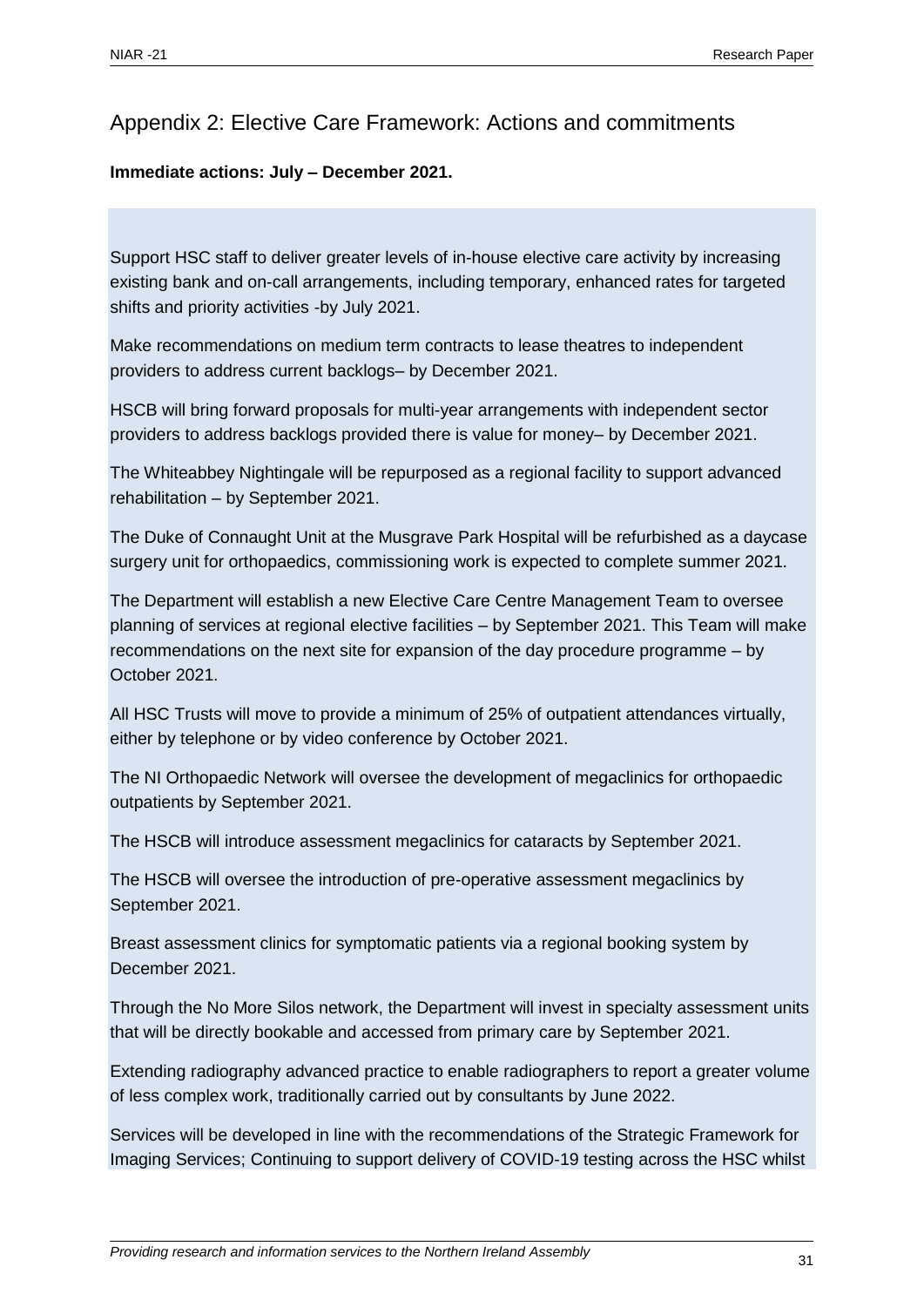## <span id="page-30-0"></span>Appendix 2: Elective Care Framework: Actions and commitments

#### <span id="page-30-1"></span>**Immediate actions: July – December 2021.**

Support HSC staff to deliver greater levels of in-house elective care activity by increasing existing bank and on-call arrangements, including temporary, enhanced rates for targeted shifts and priority activities -by July 2021.

Make recommendations on medium term contracts to lease theatres to independent providers to address current backlogs– by December 2021.

HSCB will bring forward proposals for multi-year arrangements with independent sector providers to address backlogs provided there is value for money– by December 2021.

The Whiteabbey Nightingale will be repurposed as a regional facility to support advanced rehabilitation – by September 2021.

The Duke of Connaught Unit at the Musgrave Park Hospital will be refurbished as a daycase surgery unit for orthopaedics, commissioning work is expected to complete summer 2021.

The Department will establish a new Elective Care Centre Management Team to oversee planning of services at regional elective facilities – by September 2021. This Team will make recommendations on the next site for expansion of the day procedure programme – by October 2021.

All HSC Trusts will move to provide a minimum of 25% of outpatient attendances virtually, either by telephone or by video conference by October 2021.

The NI Orthopaedic Network will oversee the development of megaclinics for orthopaedic outpatients by September 2021.

The HSCB will introduce assessment megaclinics for cataracts by September 2021.

The HSCB will oversee the introduction of pre-operative assessment megaclinics by September 2021.

Breast assessment clinics for symptomatic patients via a regional booking system by December 2021.

Through the No More Silos network, the Department will invest in specialty assessment units that will be directly bookable and accessed from primary care by September 2021.

Extending radiography advanced practice to enable radiographers to report a greater volume of less complex work, traditionally carried out by consultants by June 2022.

Services will be developed in line with the recommendations of the Strategic Framework for Imaging Services; Continuing to support delivery of COVID-19 testing across the HSC whilst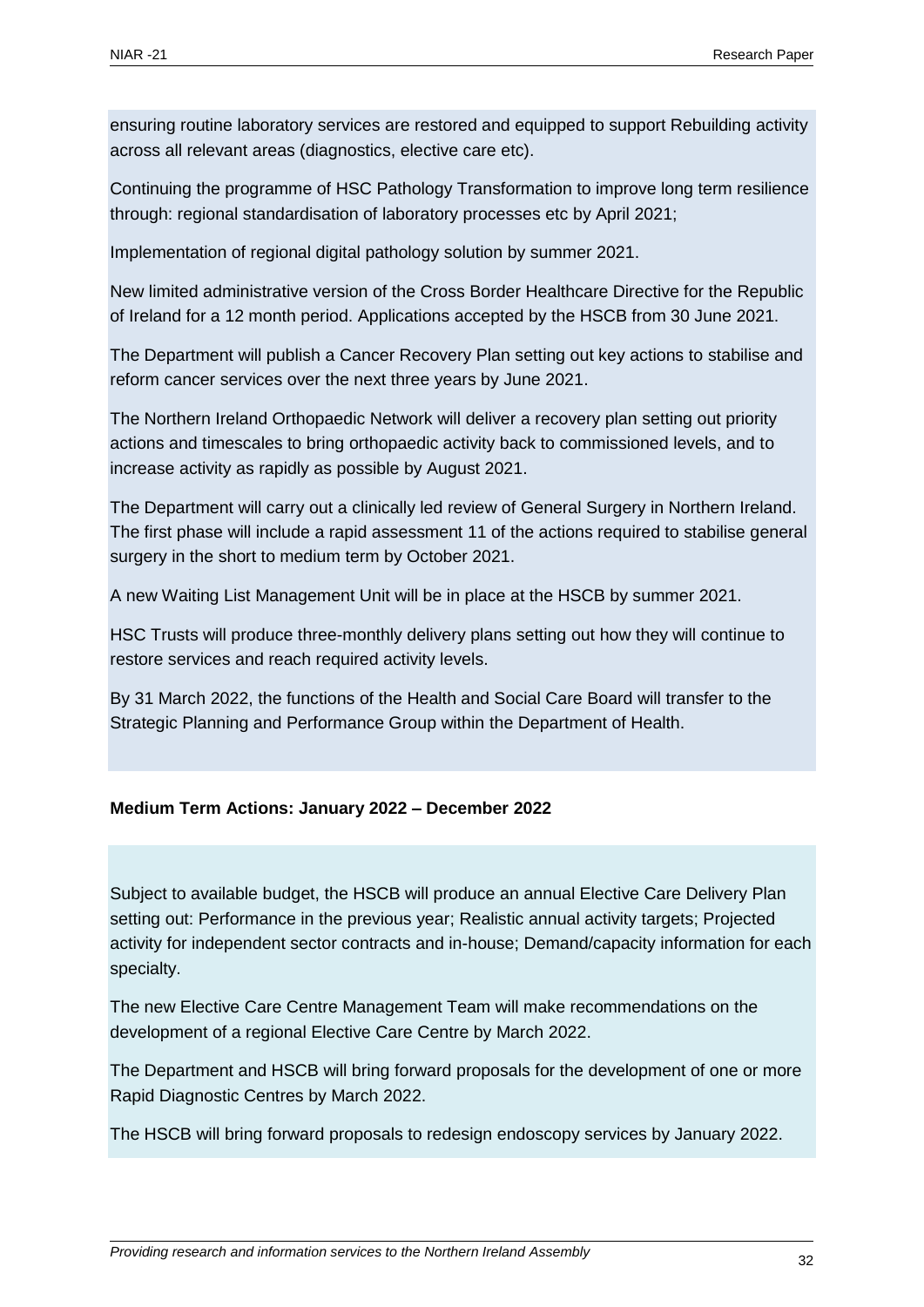ensuring routine laboratory services are restored and equipped to support Rebuilding activity across all relevant areas (diagnostics, elective care etc).

Continuing the programme of HSC Pathology Transformation to improve long term resilience through: regional standardisation of laboratory processes etc by April 2021;

Implementation of regional digital pathology solution by summer 2021.

New limited administrative version of the Cross Border Healthcare Directive for the Republic of Ireland for a 12 month period. Applications accepted by the HSCB from 30 June 2021.

The Department will publish a Cancer Recovery Plan setting out key actions to stabilise and reform cancer services over the next three years by June 2021.

The Northern Ireland Orthopaedic Network will deliver a recovery plan setting out priority actions and timescales to bring orthopaedic activity back to commissioned levels, and to increase activity as rapidly as possible by August 2021.

The Department will carry out a clinically led review of General Surgery in Northern Ireland. The first phase will include a rapid assessment 11 of the actions required to stabilise general surgery in the short to medium term by October 2021.

A new Waiting List Management Unit will be in place at the HSCB by summer 2021.

HSC Trusts will produce three-monthly delivery plans setting out how they will continue to restore services and reach required activity levels.

By 31 March 2022, the functions of the Health and Social Care Board will transfer to the Strategic Planning and Performance Group within the Department of Health.

#### <span id="page-31-0"></span>**Medium Term Actions: January 2022 – December 2022**

Subject to available budget, the HSCB will produce an annual Elective Care Delivery Plan setting out: Performance in the previous year; Realistic annual activity targets; Projected activity for independent sector contracts and in-house; Demand/capacity information for each specialty.

The new Elective Care Centre Management Team will make recommendations on the development of a regional Elective Care Centre by March 2022.

The Department and HSCB will bring forward proposals for the development of one or more Rapid Diagnostic Centres by March 2022.

The HSCB will bring forward proposals to redesign endoscopy services by January 2022.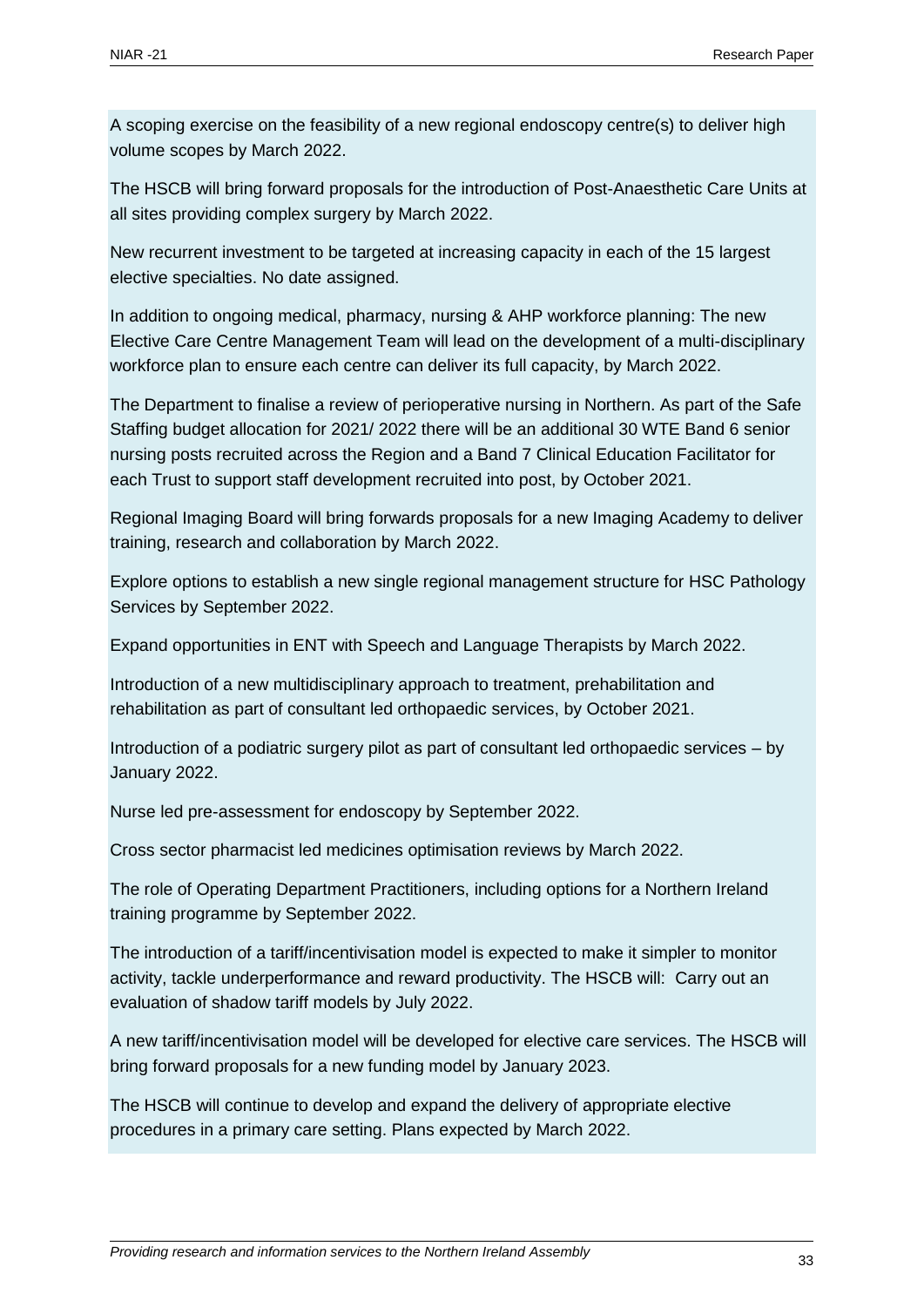A scoping exercise on the feasibility of a new regional endoscopy centre(s) to deliver high volume scopes by March 2022.

The HSCB will bring forward proposals for the introduction of Post-Anaesthetic Care Units at all sites providing complex surgery by March 2022.

New recurrent investment to be targeted at increasing capacity in each of the 15 largest elective specialties. No date assigned.

In addition to ongoing medical, pharmacy, nursing & AHP workforce planning: The new Elective Care Centre Management Team will lead on the development of a multi-disciplinary workforce plan to ensure each centre can deliver its full capacity, by March 2022.

The Department to finalise a review of perioperative nursing in Northern. As part of the Safe Staffing budget allocation for 2021/ 2022 there will be an additional 30 WTE Band 6 senior nursing posts recruited across the Region and a Band 7 Clinical Education Facilitator for each Trust to support staff development recruited into post, by October 2021.

Regional Imaging Board will bring forwards proposals for a new Imaging Academy to deliver training, research and collaboration by March 2022.

Explore options to establish a new single regional management structure for HSC Pathology Services by September 2022.

Expand opportunities in ENT with Speech and Language Therapists by March 2022.

Introduction of a new multidisciplinary approach to treatment, prehabilitation and rehabilitation as part of consultant led orthopaedic services, by October 2021.

Introduction of a podiatric surgery pilot as part of consultant led orthopaedic services – by January 2022.

Nurse led pre-assessment for endoscopy by September 2022.

Cross sector pharmacist led medicines optimisation reviews by March 2022.

The role of Operating Department Practitioners, including options for a Northern Ireland training programme by September 2022.

The introduction of a tariff/incentivisation model is expected to make it simpler to monitor activity, tackle underperformance and reward productivity. The HSCB will: Carry out an evaluation of shadow tariff models by July 2022.

A new tariff/incentivisation model will be developed for elective care services. The HSCB will bring forward proposals for a new funding model by January 2023.

The HSCB will continue to develop and expand the delivery of appropriate elective procedures in a primary care setting. Plans expected by March 2022.